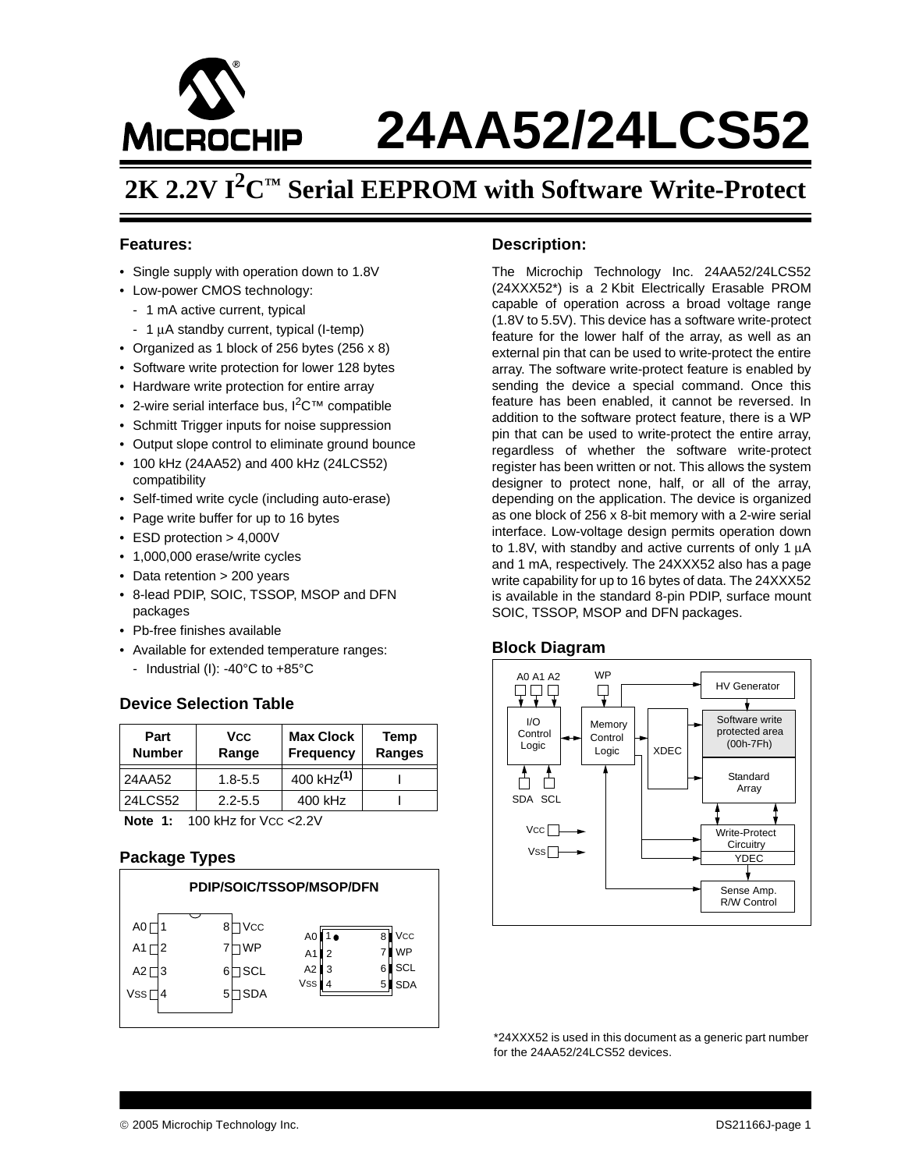# **24AA52/24LCS52 MICROCHIP**

# **2K 2.2V I2C™ Serial EEPROM with Software Write-Protect**

#### **Features:**

- Single supply with operation down to 1.8V
- Low-power CMOS technology:
- 1 mA active current, typical
- 1 μA standby current, typical (I-temp)
- Organized as 1 block of 256 bytes (256 x 8)
- Software write protection for lower 128 bytes
- Hardware write protection for entire array
- 2-wire serial interface bus, I<sup>2</sup>C<sup>™</sup> compatible
- Schmitt Trigger inputs for noise suppression
- Output slope control to eliminate ground bounce
- 100 kHz (24AA52) and 400 kHz (24LCS52) compatibility
- Self-timed write cycle (including auto-erase)
- Page write buffer for up to 16 bytes
- ESD protection > 4,000V
- 1,000,000 erase/write cycles
- Data retention > 200 years
- 8-lead PDIP, SOIC, TSSOP, MSOP and DFN packages
- Pb-free finishes available
- Available for extended temperature ranges:
- Industrial (I): -40°C to +85°C

#### **Device Selection Table**

| Part<br><b>Number</b> | Vcc<br>Range | <b>Max Clock</b><br><b>Frequency</b> | Temp<br>Ranges |
|-----------------------|--------------|--------------------------------------|----------------|
| 24AA52                | $1.8 - 5.5$  | 400 kHz <sup>(1)</sup>               |                |
| 24LCS52               | $2.2 - 5.5$  | 400 kHz                              |                |

**Note 1:** 100 kHz for VCC <2.2V

#### **Package Types**



#### **Description:**

The Microchip Technology Inc. 24AA52/24LCS52 (24XXX52\*) is a 2 Kbit Electrically Erasable PROM capable of operation across a broad voltage range (1.8V to 5.5V). This device has a software write-protect feature for the lower half of the array, as well as an external pin that can be used to write-protect the entire array. The software write-protect feature is enabled by sending the device a special command. Once this feature has been enabled, it cannot be reversed. In addition to the software protect feature, there is a WP pin that can be used to write-protect the entire array, regardless of whether the software write-protect register has been written or not. This allows the system designer to protect none, half, or all of the array, depending on the application. The device is organized as one block of 256 x 8-bit memory with a 2-wire serial interface. Low-voltage design permits operation down to 1.8V, with standby and active currents of only 1 μA and 1 mA, respectively. The 24XXX52 also has a page write capability for up to 16 bytes of data. The 24XXX52 is available in the standard 8-pin PDIP, surface mount SOIC, TSSOP, MSOP and DFN packages.

#### **Block Diagram**



\*24XXX52 is used in this document as a generic part number for the 24AA52/24LCS52 devices.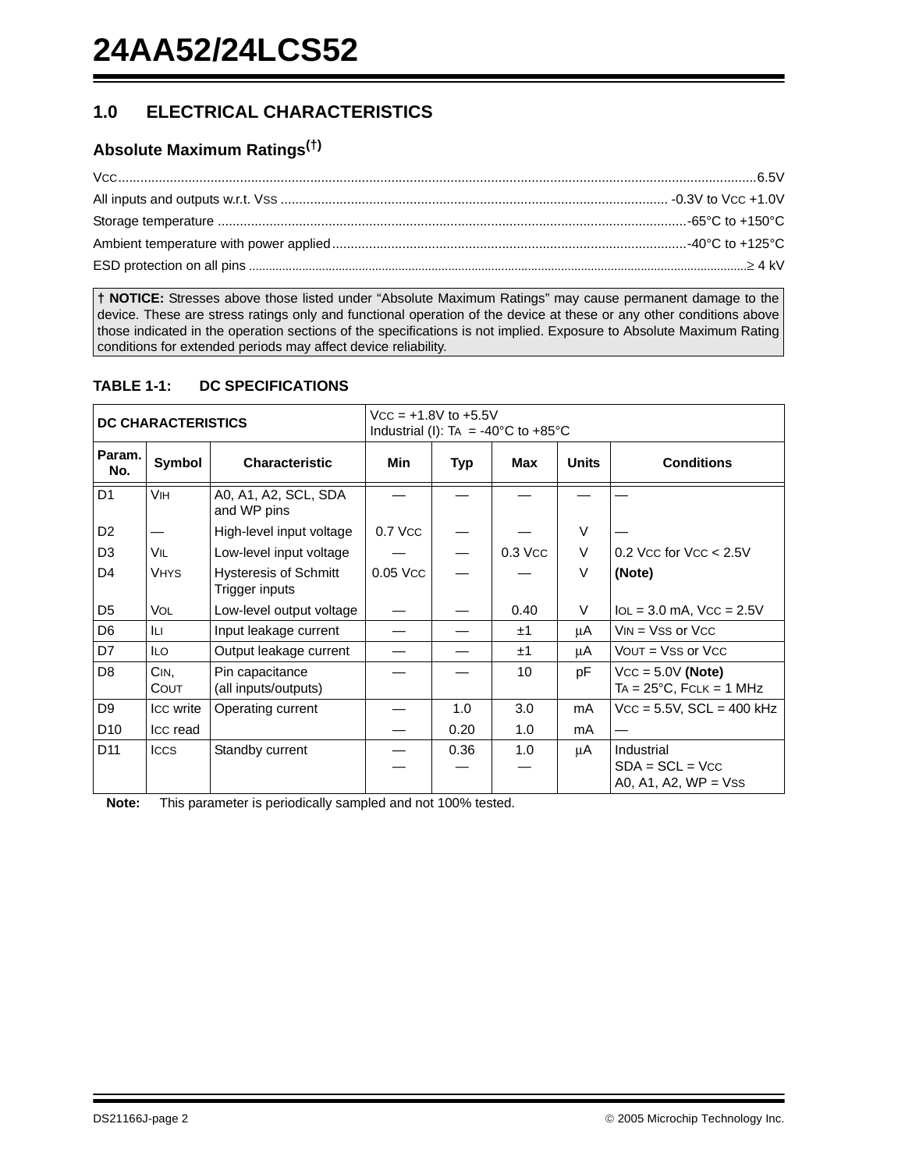# **1.0 ELECTRICAL CHARACTERISTICS**

# **Absolute Maximum Ratings(†)**

**† NOTICE:** Stresses above those listed under "Absolute Maximum Ratings" may cause permanent damage to the device. These are stress ratings only and functional operation of the device at these or any other conditions above those indicated in the operation sections of the specifications is not implied. Exposure to Absolute Maximum Rating conditions for extended periods may affect device reliability.

# **TABLE 1-1: DC SPECIFICATIONS**

|                 | <b>DC CHARACTERISTICS</b> |                                                |            | $Vcc = +1.8V$ to $+5.5V$<br>Industrial (I): TA = -40 $^{\circ}$ C to +85 $^{\circ}$ C |           |              |                                                           |
|-----------------|---------------------------|------------------------------------------------|------------|---------------------------------------------------------------------------------------|-----------|--------------|-----------------------------------------------------------|
| Param.<br>No.   | Symbol                    | <b>Characteristic</b>                          | Min        | Typ                                                                                   | Max       | <b>Units</b> | <b>Conditions</b>                                         |
| D <sub>1</sub>  | <b>VIH</b>                | A0, A1, A2, SCL, SDA<br>and WP pins            |            |                                                                                       |           |              |                                                           |
| D <sub>2</sub>  |                           | High-level input voltage                       | $0.7$ Vcc  |                                                                                       |           | V            |                                                           |
| D <sub>3</sub>  | VIL                       | Low-level input voltage                        |            |                                                                                       | $0.3$ Vcc | V            | 0.2 Vcc for $Vcc < 2.5V$                                  |
| D <sub>4</sub>  | <b>VHYS</b>               | <b>Hysteresis of Schmitt</b><br>Trigger inputs | $0.05$ Vcc |                                                                                       |           | $\vee$       | (Note)                                                    |
| D <sub>5</sub>  | <b>VOL</b>                | Low-level output voltage                       |            |                                                                                       | 0.40      | V            | $IoL = 3.0$ mA, $VCC = 2.5V$                              |
| D <sub>6</sub>  | Iц.                       | Input leakage current                          |            |                                                                                       | ±1        | μA           | $VIN = VSS$ or $VCC$                                      |
| D7              | ILO.                      | Output leakage current                         |            |                                                                                       | ±1        | μA           | $VOUT = VSS$ or $VCC$                                     |
| D <sub>8</sub>  | CIN.<br>COUT              | Pin capacitance<br>(all inputs/outputs)        |            |                                                                                       | 10        | рF           | $VCC = 5.0V (Note)$<br>$TA = 25^{\circ}C$ , FCLK = 1 MHz  |
| D <sub>9</sub>  | Icc write                 | Operating current                              |            | 1.0                                                                                   | 3.0       | mA           | $Vcc = 5.5V$ , $SCL = 400$ kHz                            |
| D <sub>10</sub> | Icc read                  |                                                |            | 0.20                                                                                  | 1.0       | mA           |                                                           |
| D <sub>11</sub> | <b>ICCS</b>               | Standby current                                |            | 0.36                                                                                  | 1.0       | μA           | Industrial<br>$SDA = SCL = VCC$<br>A0, A1, A2, $WP = Vss$ |

<span id="page-1-0"></span>**Note:** This parameter is periodically sampled and not 100% tested.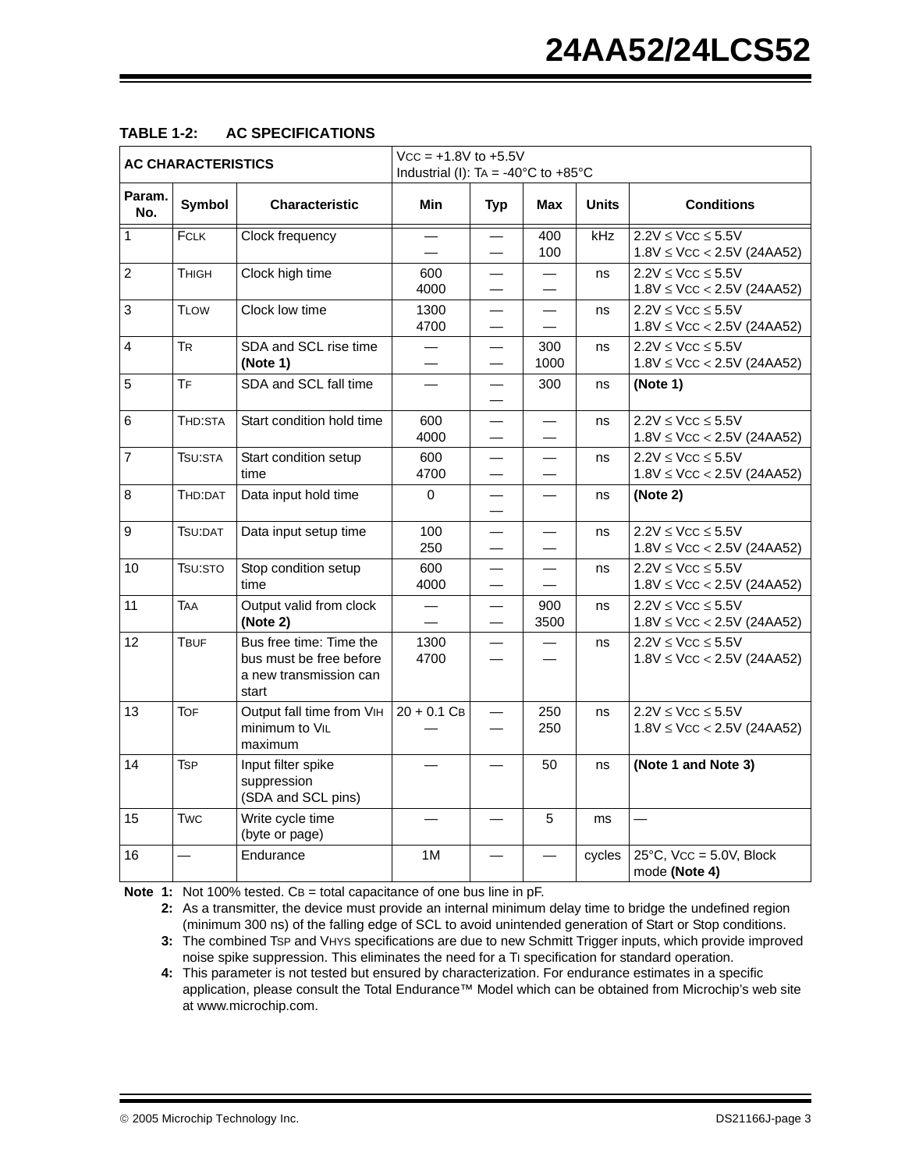|                | <b>AC CHARACTERISTICS</b> |                                                                                       |               | $Vcc = +1.8V$ to $+5.5V$<br>Industrial (I): TA = -40 $^{\circ}$ C to +85 $^{\circ}$ C |                          |              |                                                              |  |
|----------------|---------------------------|---------------------------------------------------------------------------------------|---------------|---------------------------------------------------------------------------------------|--------------------------|--------------|--------------------------------------------------------------|--|
| Param.<br>No.  | Symbol                    | Characteristic                                                                        | <b>Min</b>    | <b>Typ</b>                                                                            | <b>Max</b>               | <b>Units</b> | <b>Conditions</b>                                            |  |
| $\mathbf{1}$   | <b>FCLK</b>               | Clock frequency                                                                       |               |                                                                                       | 400<br>100               | kHz          | $2.2V \leq VCC \leq 5.5V$<br>$1.8V \leq VCC < 2.5V$ (24AA52) |  |
| $\overline{c}$ | <b>THIGH</b>              | Clock high time                                                                       | 600<br>4000   |                                                                                       |                          | ns           | $2.2V \leq VCC \leq 5.5V$<br>$1.8V \leq VCC < 2.5V$ (24AA52) |  |
| $\mathsf 3$    | <b>TLOW</b>               | Clock low time                                                                        | 1300<br>4700  |                                                                                       | $\overline{\phantom{0}}$ | ns           | $2.2V \leq VCC \leq 5.5V$<br>$1.8V \leq VCC < 2.5V$ (24AA52) |  |
| 4              | TR                        | SDA and SCL rise time<br>(Note 1)                                                     |               |                                                                                       | 300<br>1000              | ns           | $2.2V \leq VCC \leq 5.5V$<br>$1.8V \leq VCC < 2.5V$ (24AA52) |  |
| 5              | <b>TF</b>                 | SDA and SCL fall time                                                                 |               |                                                                                       | 300                      | ns           | (Note 1)                                                     |  |
| 6              | THD:STA                   | Start condition hold time                                                             | 600<br>4000   |                                                                                       |                          | ns           | $2.2V \leq VCC \leq 5.5V$<br>$1.8V \leq VCC < 2.5V$ (24AA52) |  |
| $\overline{7}$ | <b>TSU:STA</b>            | Start condition setup<br>time                                                         | 600<br>4700   |                                                                                       |                          | ns           | $2.2V \leq VCC \leq 5.5V$<br>$1.8V \leq VCC < 2.5V$ (24AA52) |  |
| 8              | THD:DAT                   | Data input hold time                                                                  | 0             |                                                                                       |                          | ns           | (Note 2)                                                     |  |
| 9              | TSU:DAT                   | Data input setup time                                                                 | 100<br>250    |                                                                                       |                          | ns           | $2.2V \leq VCC \leq 5.5V$<br>$1.8V \leq VCC < 2.5V$ (24AA52) |  |
| 10             | TSU:STO                   | Stop condition setup<br>time                                                          | 600<br>4000   |                                                                                       |                          | ns           | $2.2V \leq VCC \leq 5.5V$<br>$1.8V \leq VCC < 2.5V$ (24AA52) |  |
| 11             | <b>TAA</b>                | Output valid from clock<br>(Note 2)                                                   |               | $\overline{\phantom{0}}$                                                              | 900<br>3500              | ns           | $2.2V \leq VCC \leq 5.5V$<br>$1.8V \leq VCC < 2.5V$ (24AA52) |  |
| 12             | <b>TBUF</b>               | Bus free time: Time the<br>bus must be free before<br>a new transmission can<br>start | 1300<br>4700  |                                                                                       |                          | ns           | $2.2V \leq VCC \leq 5.5V$<br>$1.8V \leq VCC < 2.5V$ (24AA52) |  |
| 13             | <b>TOF</b>                | Output fall time from VIH<br>minimum to VIL<br>maximum                                | $20 + 0.1$ CB |                                                                                       | 250<br>250               | ns           | $2.2V \leq VCC \leq 5.5V$<br>$1.8V \leq VCC < 2.5V$ (24AA52) |  |
| 14             | <b>TSP</b>                | Input filter spike<br>suppression<br>(SDA and SCL pins)                               |               |                                                                                       | 50                       | ns           | (Note 1 and Note 3)                                          |  |
| 15             | <b>Twc</b>                | Write cycle time<br>(byte or page)                                                    |               |                                                                                       | 5                        | ms           |                                                              |  |
| 16             |                           | Endurance                                                                             | 1M            |                                                                                       |                          | cycles       | $25^{\circ}$ C, Vcc = 5.0V, Block<br>mode (Note 4)           |  |

#### **TABLE 1-2: AC SPECIFICATIONS**

<span id="page-2-1"></span><span id="page-2-0"></span>**Note 1:** Not 100% tested. CB = total capacitance of one bus line in pF.

**2:** As a transmitter, the device must provide an internal minimum delay time to bridge the undefined region (minimum 300 ns) of the falling edge of SCL to avoid unintended generation of Start or Stop conditions.

<span id="page-2-2"></span>**3:** The combined TSP and VHYS specifications are due to new Schmitt Trigger inputs, which provide improved noise spike suppression. This eliminates the need for a TI specification for standard operation.

<span id="page-2-3"></span>**4:** This parameter is not tested but ensured by characterization. For endurance estimates in a specific application, please consult the Total Endurance™ Model which can be obtained from Microchip's web site at www.microchip.com.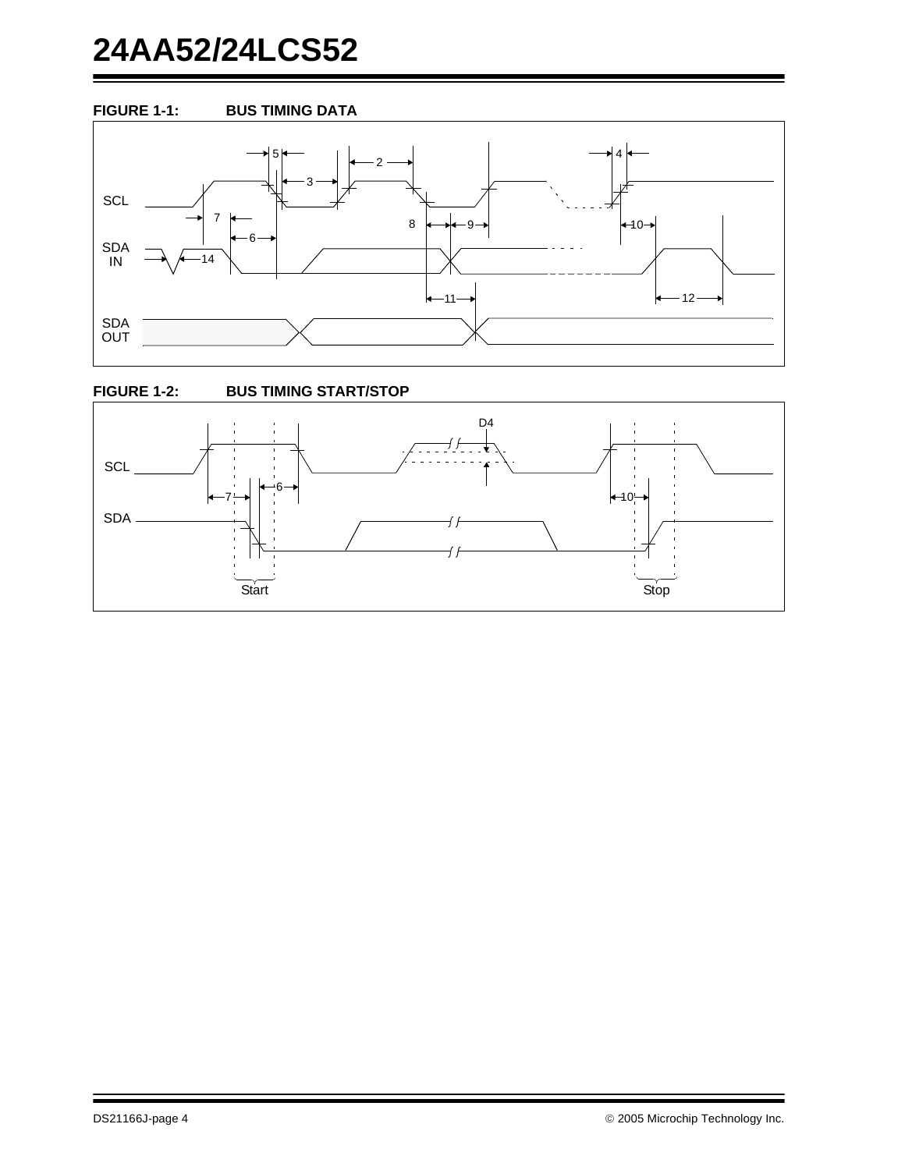# **24AA52/24LCS52**

#### **FIGURE 1-1: BUS TIMING DATA**





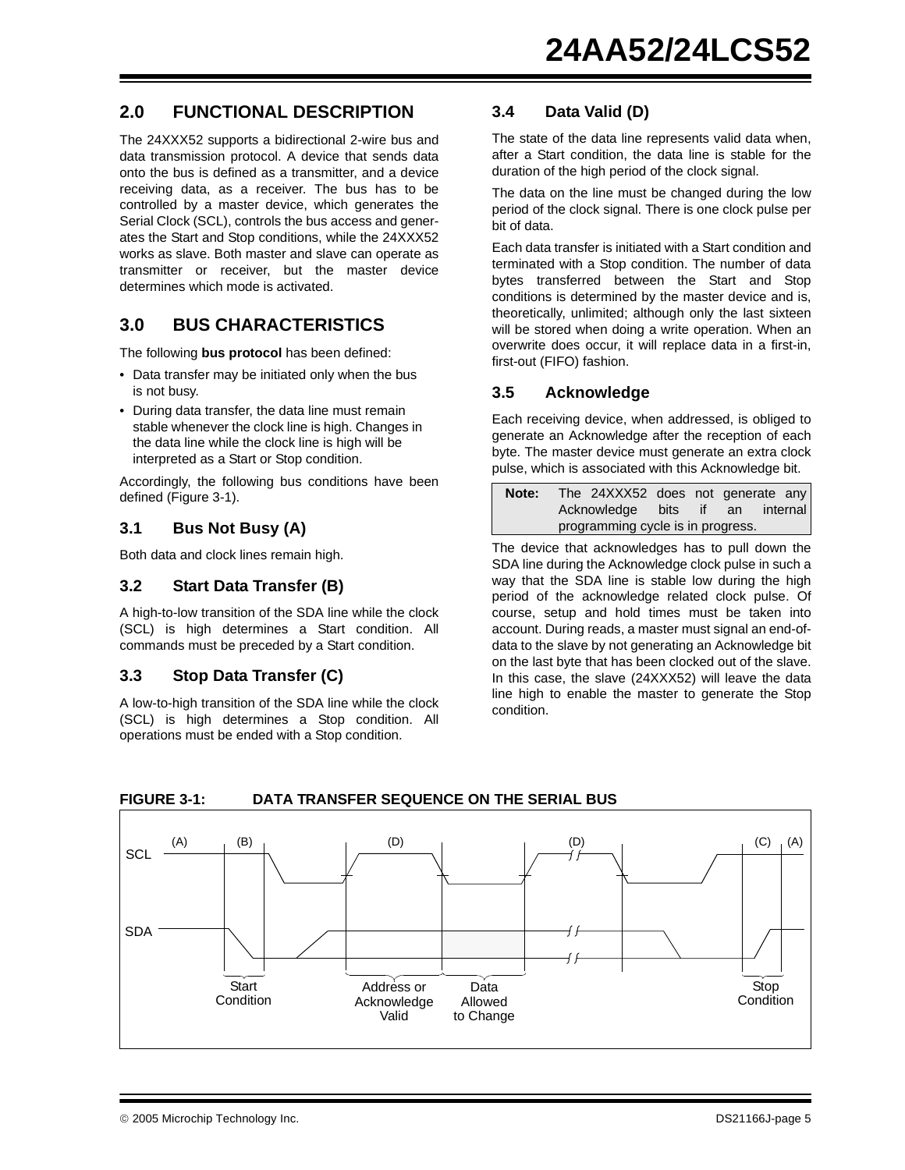# **2.0 FUNCTIONAL DESCRIPTION**

The 24XXX52 supports a bidirectional 2-wire bus and data transmission protocol. A device that sends data onto the bus is defined as a transmitter, and a device receiving data, as a receiver. The bus has to be controlled by a master device, which generates the Serial Clock (SCL), controls the bus access and generates the Start and Stop conditions, while the 24XXX52 works as slave. Both master and slave can operate as transmitter or receiver, but the master device determines which mode is activated.

# **3.0 BUS CHARACTERISTICS**

The following **bus protocol** has been defined:

- Data transfer may be initiated only when the bus is not busy.
- During data transfer, the data line must remain stable whenever the clock line is high. Changes in the data line while the clock line is high will be interpreted as a Start or Stop condition.

Accordingly, the following bus conditions have been defined ([Figure 3-1\)](#page-4-0).

# **3.1 Bus Not Busy (A)**

Both data and clock lines remain high.

### **3.2 Start Data Transfer (B)**

A high-to-low transition of the SDA line while the clock (SCL) is high determines a Start condition. All commands must be preceded by a Start condition.

### **3.3 Stop Data Transfer (C)**

A low-to-high transition of the SDA line while the clock (SCL) is high determines a Stop condition. All operations must be ended with a Stop condition.

# **3.4 Data Valid (D)**

The state of the data line represents valid data when, after a Start condition, the data line is stable for the duration of the high period of the clock signal.

The data on the line must be changed during the low period of the clock signal. There is one clock pulse per bit of data.

Each data transfer is initiated with a Start condition and terminated with a Stop condition. The number of data bytes transferred between the Start and Stop conditions is determined by the master device and is, theoretically, unlimited; although only the last sixteen will be stored when doing a write operation. When an overwrite does occur, it will replace data in a first-in, first-out (FIFO) fashion.

#### **3.5 Acknowledge**

Each receiving device, when addressed, is obliged to generate an Acknowledge after the reception of each byte. The master device must generate an extra clock pulse, which is associated with this Acknowledge bit.

| Note: | The 24XXX52 does not generate any |  |  |  |
|-------|-----------------------------------|--|--|--|
|       | Acknowledge bits if an internal   |  |  |  |
|       | programming cycle is in progress. |  |  |  |

The device that acknowledges has to pull down the SDA line during the Acknowledge clock pulse in such a way that the SDA line is stable low during the high period of the acknowledge related clock pulse. Of course, setup and hold times must be taken into account. During reads, a master must signal an end-ofdata to the slave by not generating an Acknowledge bit on the last byte that has been clocked out of the slave. In this case, the slave (24XXX52) will leave the data line high to enable the master to generate the Stop condition.



### <span id="page-4-0"></span>**FIGURE 3-1: DATA TRANSFER SEQUENCE ON THE SERIAL BUS**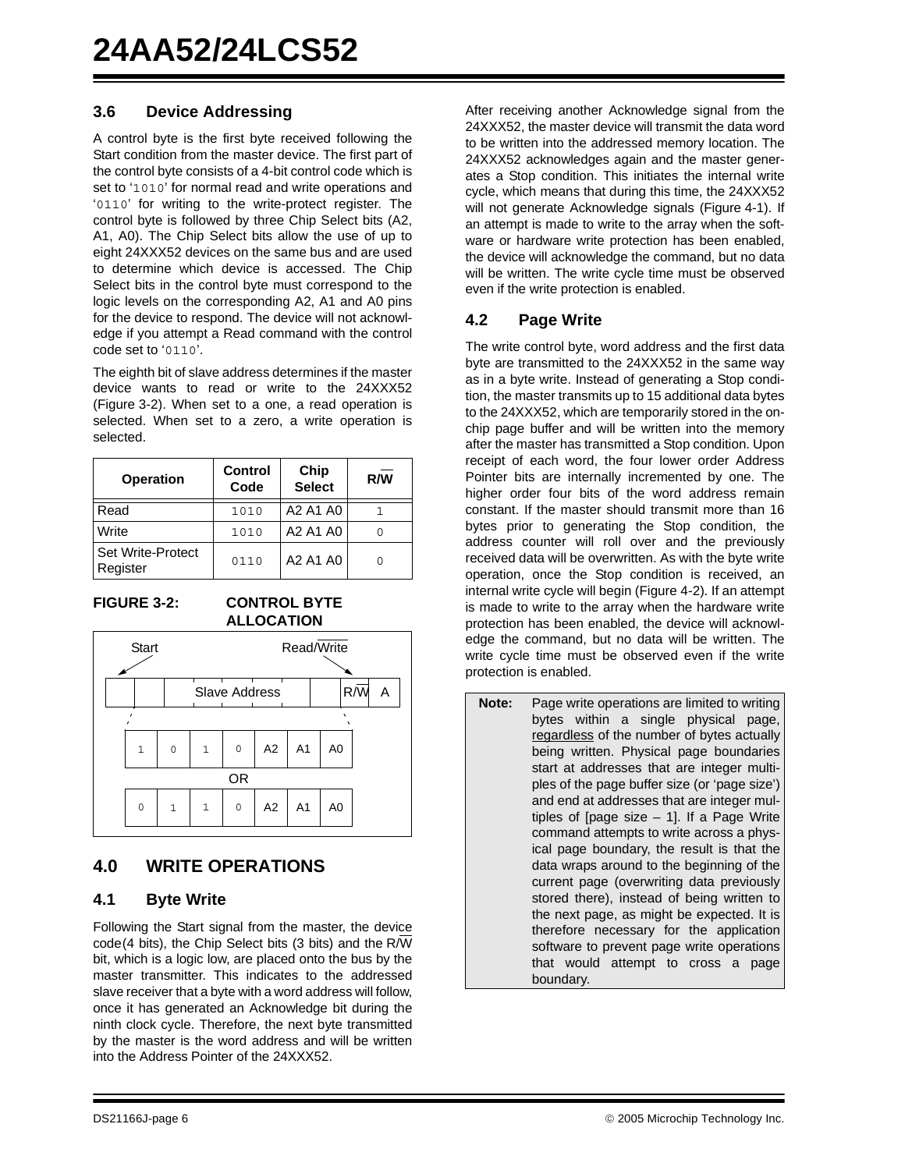## **3.6 Device Addressing**

A control byte is the first byte received following the Start condition from the master device. The first part of the control byte consists of a 4-bit control code which is set to '1010' for normal read and write operations and '0110' for writing to the write-protect register. The control byte is followed by three Chip Select bits (A2, A1, A0). The Chip Select bits allow the use of up to eight 24XXX52 devices on the same bus and are used to determine which device is accessed. The Chip Select bits in the control byte must correspond to the logic levels on the corresponding A2, A1 and A0 pins for the device to respond. The device will not acknowledge if you attempt a Read command with the control code set to '0110'.

The eighth bit of slave address determines if the master device wants to read or write to the 24XXX52 ([Figure 3-2\)](#page-5-0). When set to a one, a read operation is selected. When set to a zero, a write operation is selected.

| <b>Operation</b>                     | <b>Control</b><br>Code | Chip<br><b>Select</b> | R/W |
|--------------------------------------|------------------------|-----------------------|-----|
| Read                                 | 1010                   | A2 A1 A0              |     |
| Write                                | 1010                   | A2 A1 A0              |     |
| <b>Set Write-Protect</b><br>Register | 0110                   | A2 A1 A0              |     |

# <span id="page-5-0"></span>**FIGURE 3-2: CONTROL BYTE**

# **ALLOCATION**



# **4.0 WRITE OPERATIONS**

### **4.1 Byte Write**

Following the Start signal from the master, the device code(4 bits), the Chip Select bits (3 bits) and the R/W bit, which is a logic low, are placed onto the bus by the master transmitter. This indicates to the addressed slave receiver that a byte with a word address will follow, once it has generated an Acknowledge bit during the ninth clock cycle. Therefore, the next byte transmitted by the master is the word address and will be written into the Address Pointer of the 24XXX52.

After receiving another Acknowledge signal from the 24XXX52, the master device will transmit the data word to be written into the addressed memory location. The 24XXX52 acknowledges again and the master generates a Stop condition. This initiates the internal write cycle, which means that during this time, the 24XXX52 will not generate Acknowledge signals ([Figure 4-1](#page-6-0)). If an attempt is made to write to the array when the software or hardware write protection has been enabled, the device will acknowledge the command, but no data will be written. The write cycle time must be observed even if the write protection is enabled.

# **4.2 Page Write**

The write control byte, word address and the first data byte are transmitted to the 24XXX52 in the same way as in a byte write. Instead of generating a Stop condition, the master transmits up to 15 additional data bytes to the 24XXX52, which are temporarily stored in the onchip page buffer and will be written into the memory after the master has transmitted a Stop condition. Upon receipt of each word, the four lower order Address Pointer bits are internally incremented by one. The higher order four bits of the word address remain constant. If the master should transmit more than 16 bytes prior to generating the Stop condition, the address counter will roll over and the previously received data will be overwritten. As with the byte write operation, once the Stop condition is received, an internal write cycle will begin ([Figure 4-2\)](#page-6-1). If an attempt is made to write to the array when the hardware write protection has been enabled, the device will acknowledge the command, but no data will be written. The write cycle time must be observed even if the write protection is enabled.

**Note:** Page write operations are limited to writing bytes within a single physical page, regardless of the number of bytes actually being written. Physical page boundaries start at addresses that are integer multiples of the page buffer size (or 'page size') and end at addresses that are integer multiples of [page size  $-1$ ]. If a Page Write command attempts to write across a physical page boundary, the result is that the data wraps around to the beginning of the current page (overwriting data previously stored there), instead of being written to the next page, as might be expected. It is therefore necessary for the application software to prevent page write operations that would attempt to cross a page boundary.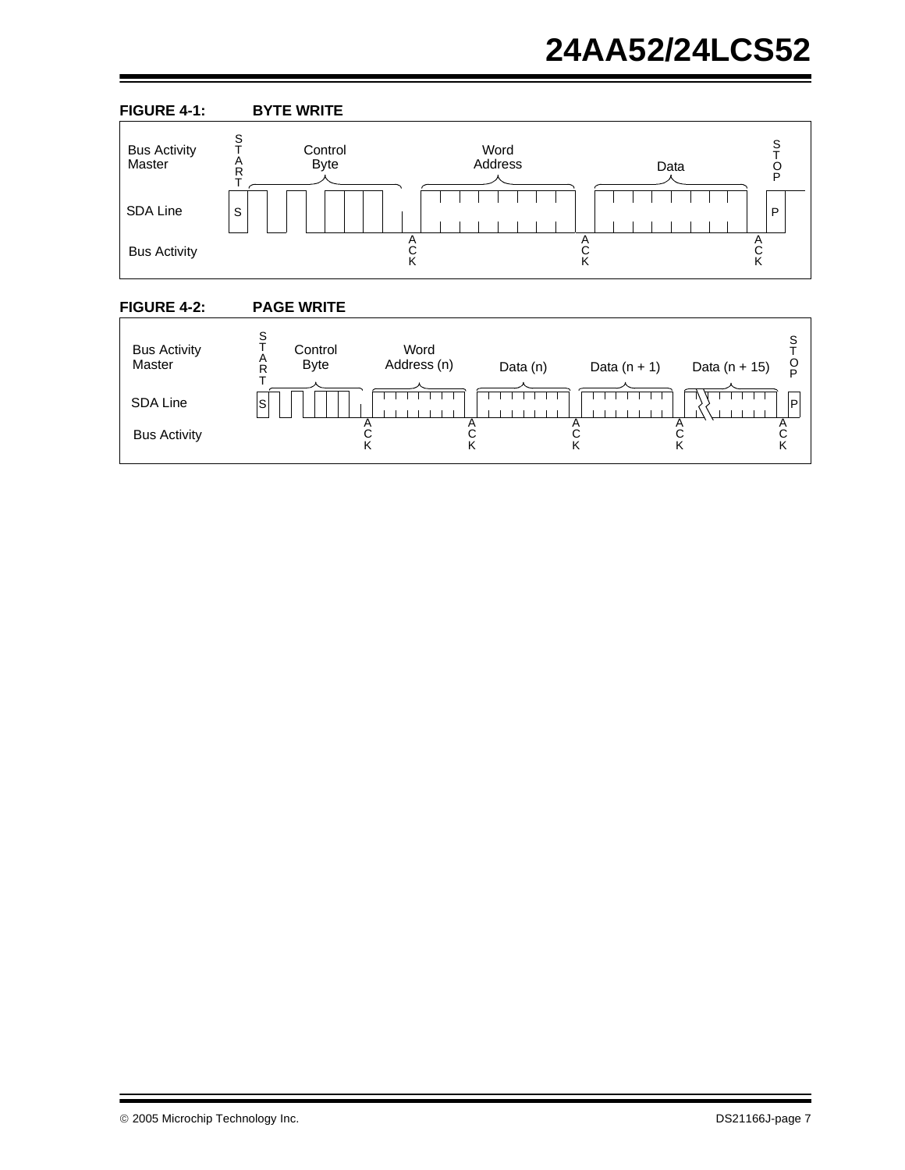#### <span id="page-6-0"></span>**FIGURE 4-1: BYTE WRITE**



### <span id="page-6-1"></span>**FIGURE 4-2: PAGE WRITE**

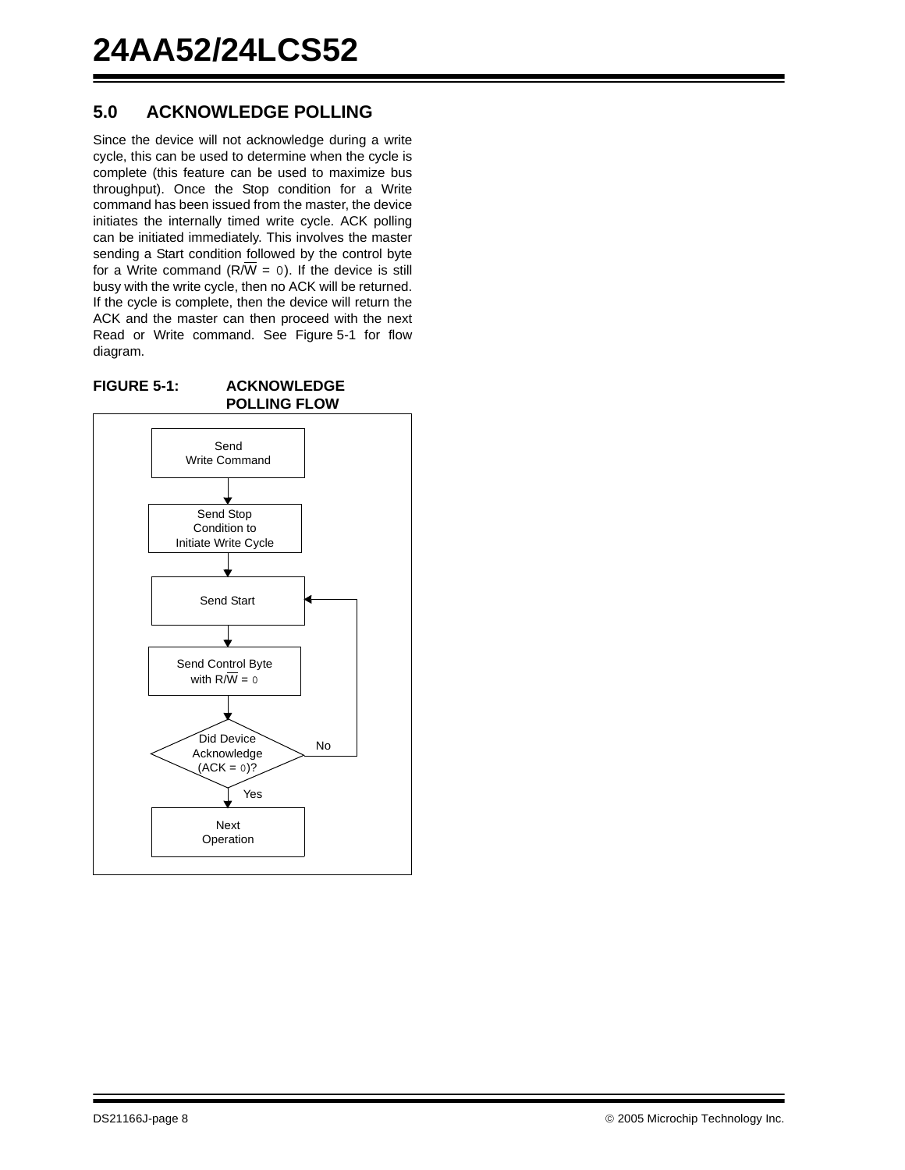# **5.0 ACKNOWLEDGE POLLING**

Since the device will not acknowledge during a write cycle, this can be used to determine when the cycle is complete (this feature can be used to maximize bus throughput). Once the Stop condition for a Write command has been issued from the master, the device initiates the internally timed write cycle. ACK polling can be initiated immediately. This involves the master sending a Start condition followed by the control byte for a Write command ( $R/\overline{W} = 0$ ). If the device is still busy with the write cycle, then no ACK will be returned. If the cycle is complete, then the device will return the ACK and the master can then proceed with the next Read or Write command. See [Figure 5-1](#page-7-0) for flow diagram.

<span id="page-7-0"></span>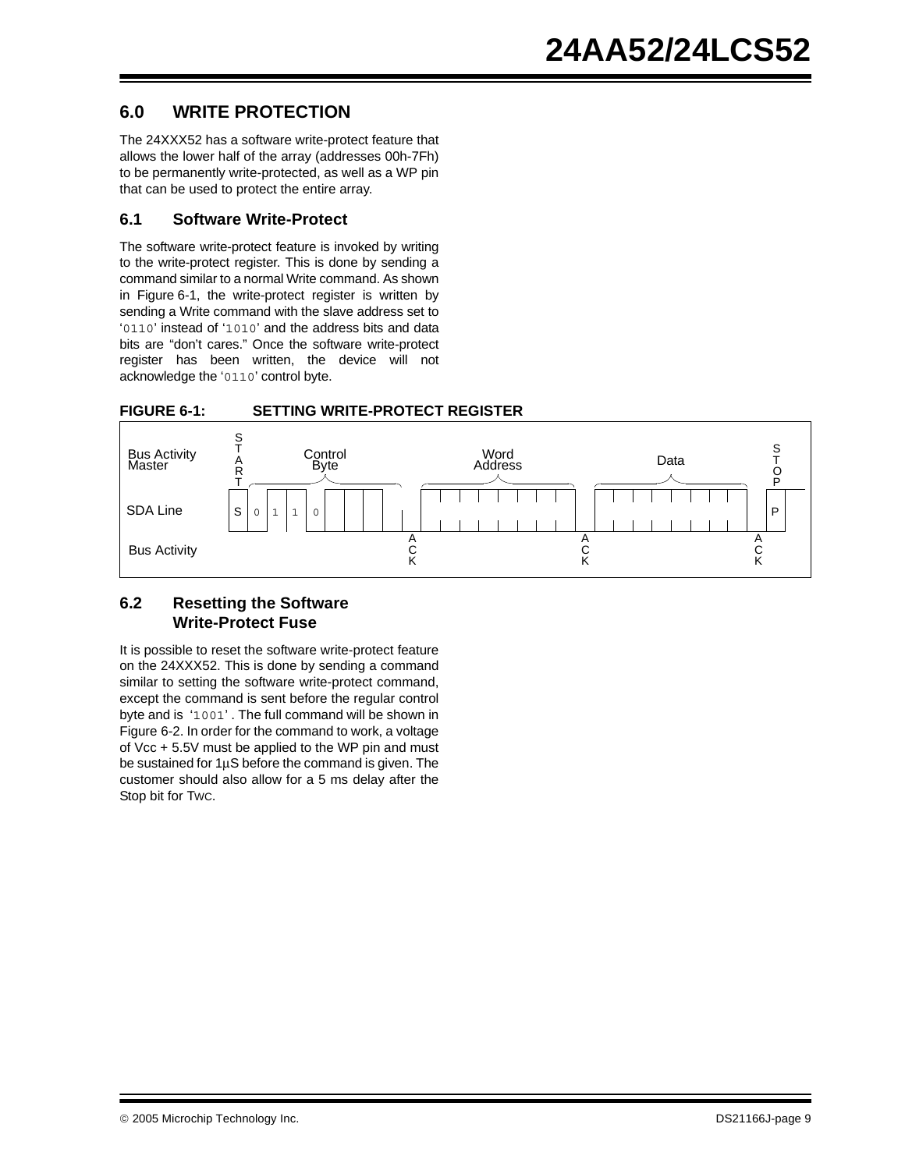# **6.0 WRITE PROTECTION**

The 24XXX52 has a software write-protect feature that allows the lower half of the array (addresses 00h-7Fh) to be permanently write-protected, as well as a WP pin that can be used to protect the entire array.

### **6.1 Software Write-Protect**

The software write-protect feature is invoked by writing to the write-protect register. This is done by sending a command similar to a normal Write command. As shown in [Figure 6-1,](#page-8-0) the write-protect register is written by sending a Write command with the slave address set to '0110' instead of '1010' and the address bits and data bits are "don't cares." Once the software write-protect register has been written, the device will not acknowledge the '0110' control byte.

<span id="page-8-0"></span>



#### **6.2 Resetting the Software Write-Protect Fuse**

It is possible to reset the software write-protect feature on the 24XXX52. This is done by sending a command similar to setting the software write-protect command, except the command is sent before the regular control byte and is '1001' . The full command will be shown in [Figure 6-2.](#page-9-0) In order for the command to work, a voltage of Vcc + 5.5V must be applied to the WP pin and must be sustained for 1μS before the command is given. The customer should also allow for a 5 ms delay after the Stop bit for TWC.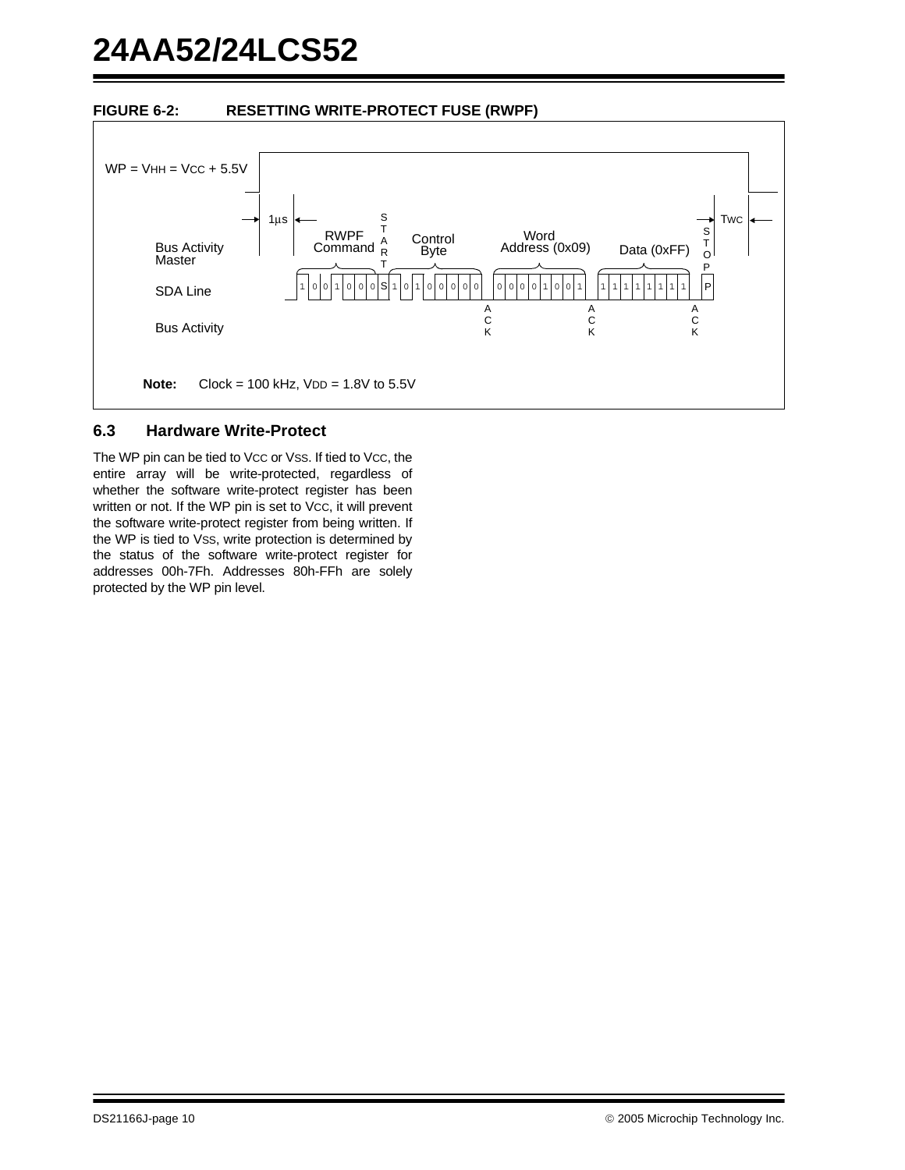<span id="page-9-0"></span>



#### **6.3 Hardware Write-Protect**

The WP pin can be tied to Vcc or Vss. If tied to Vcc, the entire array will be write-protected, regardless of whether the software write-protect register has been written or not. If the WP pin is set to Vcc, it will prevent the software write-protect register from being written. If the WP is tied to VSS, write protection is determined by the status of the software write-protect register for addresses 00h-7Fh. Addresses 80h-FFh are solely protected by the WP pin level.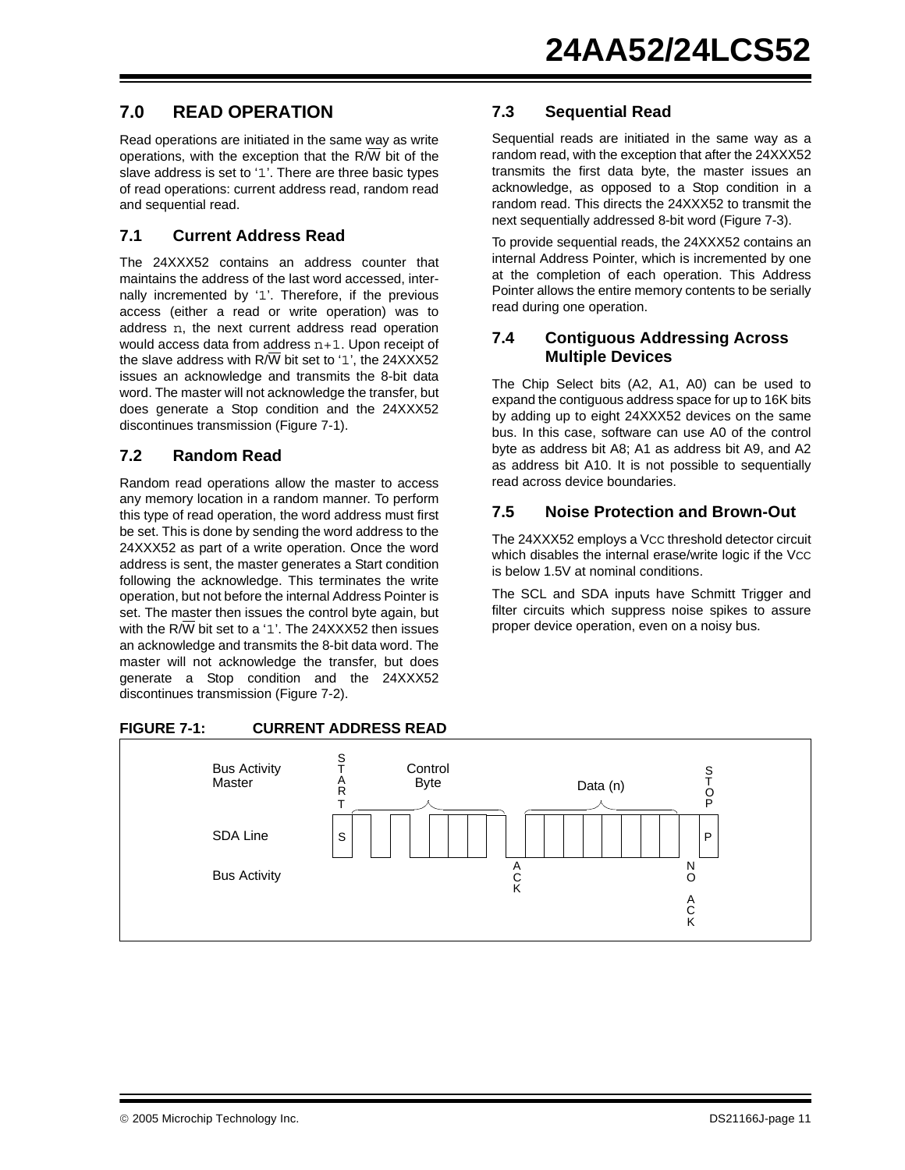# **7.0 READ OPERATION**

Read operations are initiated in the same way as write operations, with the exception that the  $R/\overline{W}$  bit of the slave address is set to '1'. There are three basic types of read operations: current address read, random read and sequential read.

### **7.1 Current Address Read**

The 24XXX52 contains an address counter that maintains the address of the last word accessed, internally incremented by '1'. Therefore, if the previous access (either a read or write operation) was to address n, the next current address read operation would access data from address  $n+1$ . Upon receipt of the slave address with  $R/\overline{W}$  bit set to '1', the 24XXX52 issues an acknowledge and transmits the 8-bit data word. The master will not acknowledge the transfer, but does generate a Stop condition and the 24XXX52 discontinues transmission [\(Figure 7-1](#page-10-0)).

#### **7.2 Random Read**

Random read operations allow the master to access any memory location in a random manner. To perform this type of read operation, the word address must first be set. This is done by sending the word address to the 24XXX52 as part of a write operation. Once the word address is sent, the master generates a Start condition following the acknowledge. This terminates the write operation, but not before the internal Address Pointer is set. The master then issues the control byte again, but with the R/ $\overline{W}$  bit set to a '1'. The 24XXX52 then issues an acknowledge and transmits the 8-bit data word. The master will not acknowledge the transfer, but does generate a Stop condition and the 24XXX52 discontinues transmission [\(Figure 7-2](#page-11-0)).

### **7.3 Sequential Read**

Sequential reads are initiated in the same way as a random read, with the exception that after the 24XXX52 transmits the first data byte, the master issues an acknowledge, as opposed to a Stop condition in a random read. This directs the 24XXX52 to transmit the next sequentially addressed 8-bit word [\(Figure 7-3\)](#page-11-1).

To provide sequential reads, the 24XXX52 contains an internal Address Pointer, which is incremented by one at the completion of each operation. This Address Pointer allows the entire memory contents to be serially read during one operation.

#### **7.4 Contiguous Addressing Across Multiple Devices**

The Chip Select bits (A2, A1, A0) can be used to expand the contiguous address space for up to 16K bits by adding up to eight 24XXX52 devices on the same bus. In this case, software can use A0 of the control byte as address bit A8; A1 as address bit A9, and A2 as address bit A10. It is not possible to sequentially read across device boundaries.

# **7.5 Noise Protection and Brown-Out**

The 24XXX52 employs a VCC threshold detector circuit which disables the internal erase/write logic if the Vcc is below 1.5V at nominal conditions.

The SCL and SDA inputs have Schmitt Trigger and filter circuits which suppress noise spikes to assure proper device operation, even on a noisy bus.

<span id="page-10-0"></span>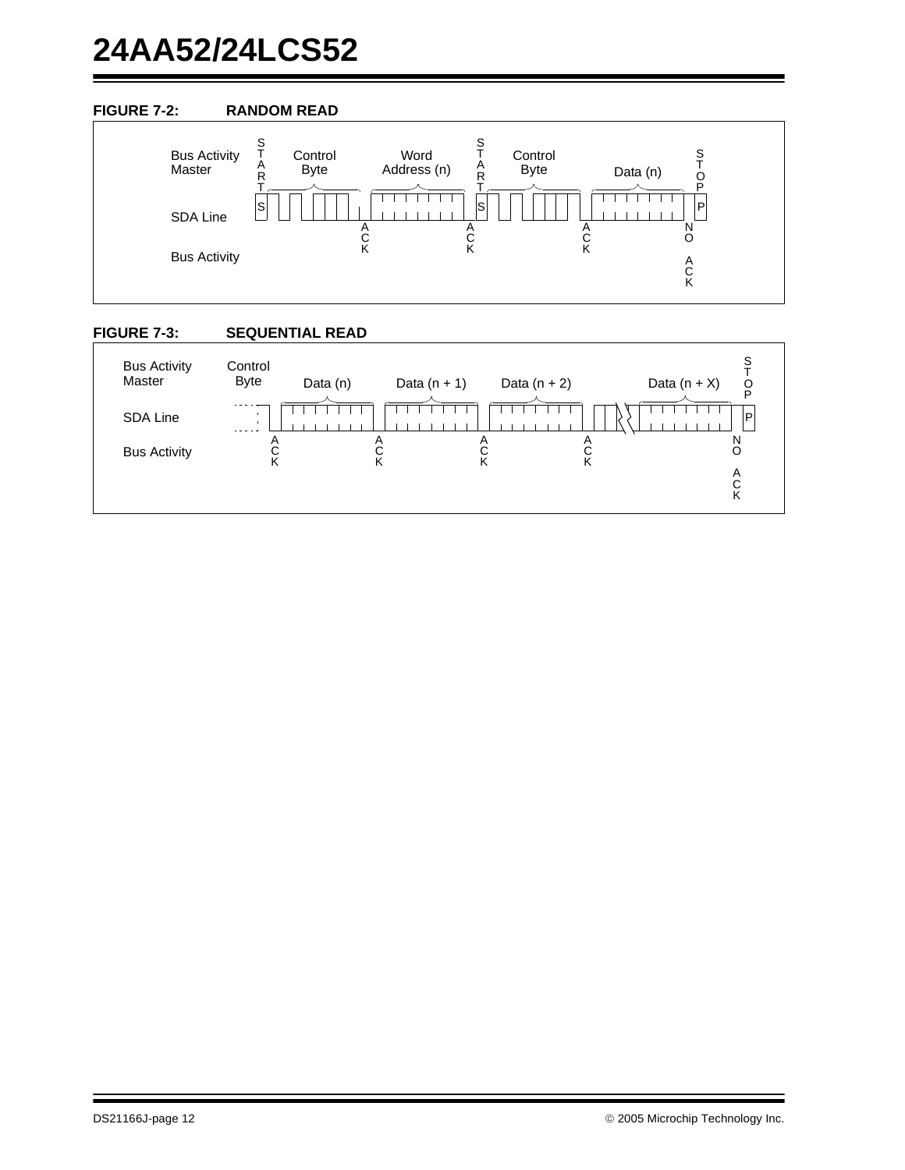# **24AA52/24LCS52**

### <span id="page-11-0"></span>**FIGURE 7-2: RANDOM READ**



#### <span id="page-11-1"></span>**FIGURE 7-3: SEQUENTIAL READ**

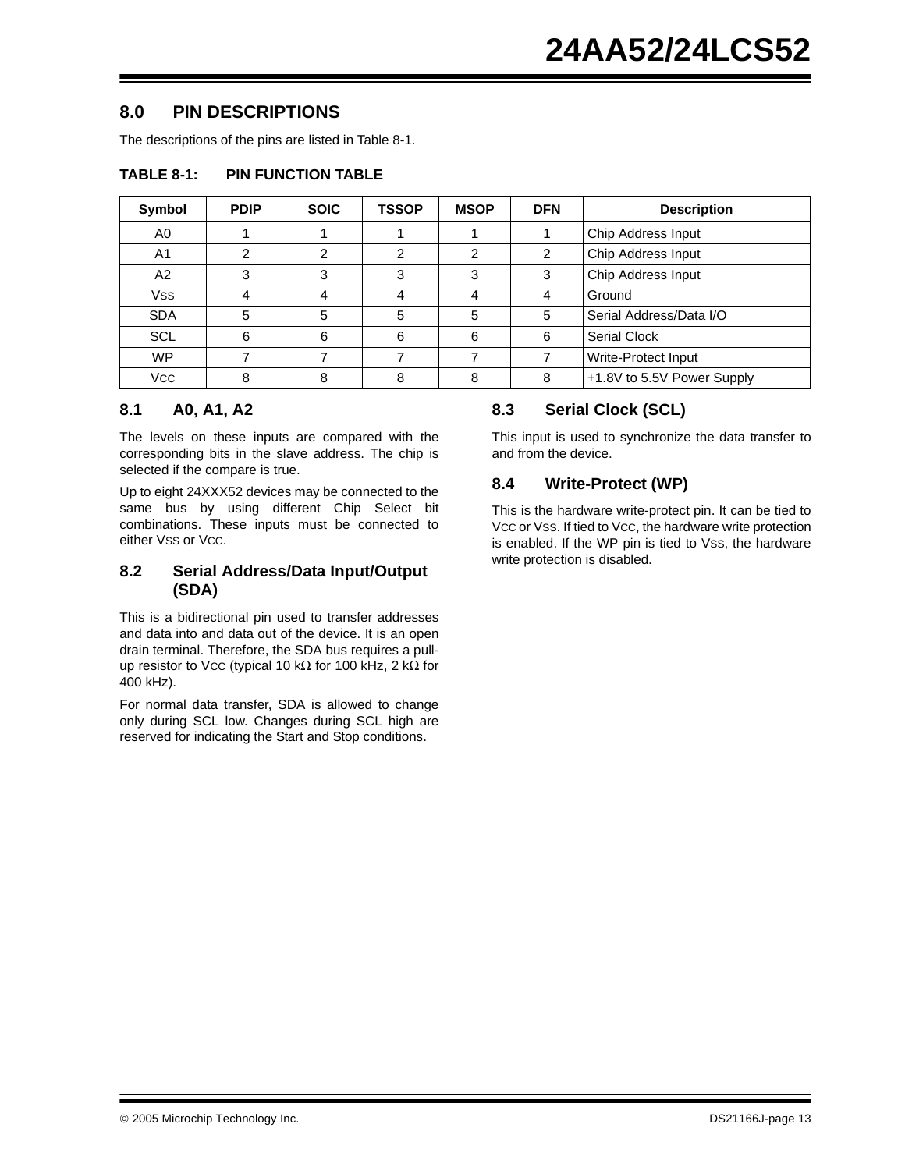# **8.0 PIN DESCRIPTIONS**

The descriptions of the pins are listed in [Table 8-1.](#page-12-0)

| Symbol         | <b>PDIP</b> | <b>SOIC</b> | <b>TSSOP</b> | <b>MSOP</b> | <b>DFN</b> | <b>Description</b>         |
|----------------|-------------|-------------|--------------|-------------|------------|----------------------------|
| A0             |             |             |              |             |            | Chip Address Input         |
| A <sub>1</sub> | 2           | 2           | 2            | 2           | 2          | Chip Address Input         |
| A2             | 3           | 3           | 3            | 3           | 3          | Chip Address Input         |
| <b>VSS</b>     | 4           | 4           | 4            | 4           | 4          | Ground                     |
| <b>SDA</b>     | 5           | 5           | 5            | 5           | 5          | Serial Address/Data I/O    |
| <b>SCL</b>     | 6           | 6           | 6            | 6           | 6          | Serial Clock               |
| <b>WP</b>      |             |             |              |             |            | Write-Protect Input        |
| <b>VCC</b>     | 8           | 8           | 8            | 8           | 8          | +1.8V to 5.5V Power Supply |

#### <span id="page-12-0"></span>**TABLE 8-1: PIN FUNCTION TABLE**

### **8.1 A0, A1, A2**

The levels on these inputs are compared with the corresponding bits in the slave address. The chip is selected if the compare is true.

Up to eight 24XXX52 devices may be connected to the same bus by using different Chip Select bit combinations. These inputs must be connected to either Vss or Vcc.

# **8.2 Serial Address/Data Input/Output (SDA)**

This is a bidirectional pin used to transfer addresses and data into and data out of the device. It is an open drain terminal. Therefore, the SDA bus requires a pullup resistor to VCC (typical 10 kΩ for 100 kHz, 2 kΩ for 400 kHz).

For normal data transfer, SDA is allowed to change only during SCL low. Changes during SCL high are reserved for indicating the Start and Stop conditions.

# **8.3 Serial Clock (SCL)**

This input is used to synchronize the data transfer to and from the device.

### **8.4 Write-Protect (WP)**

This is the hardware write-protect pin. It can be tied to Vcc or Vss. If tied to Vcc, the hardware write protection is enabled. If the WP pin is tied to Vss, the hardware write protection is disabled.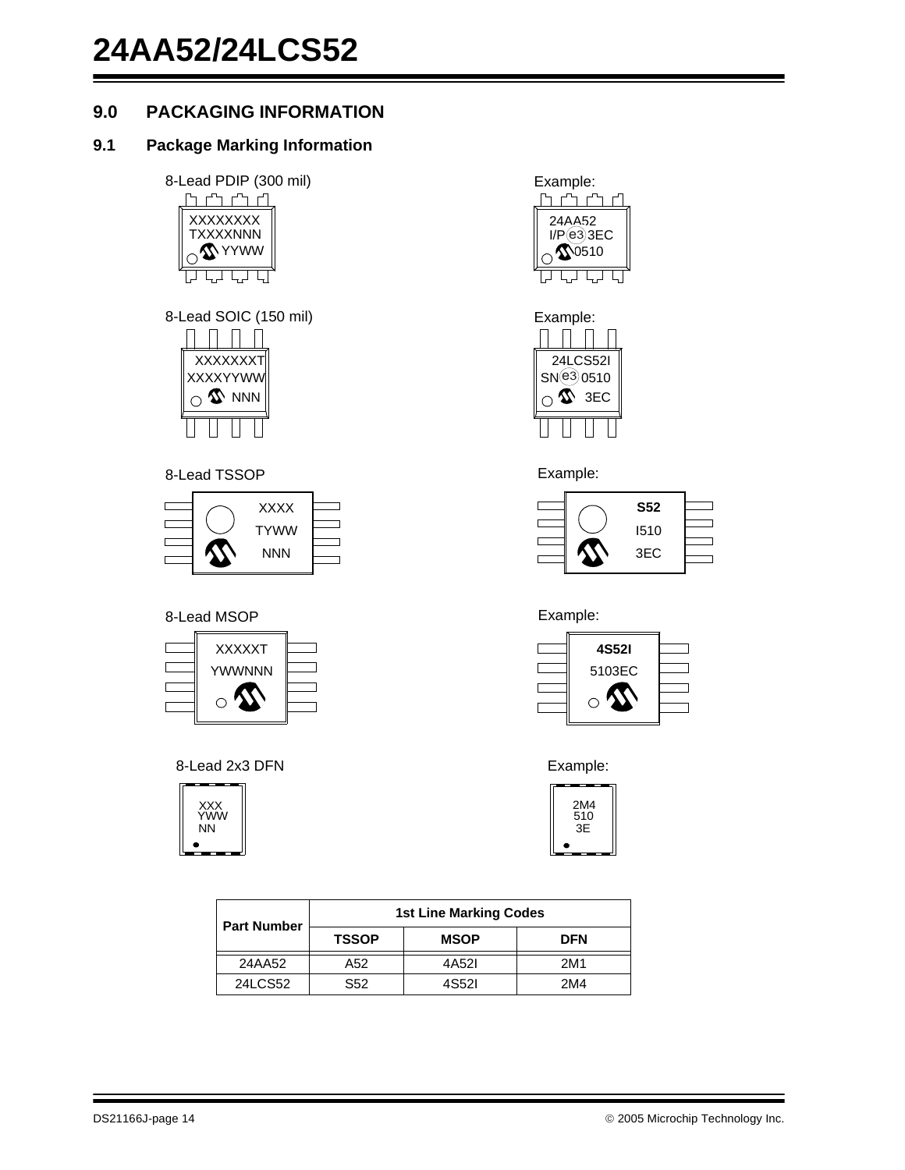# **9.0 PACKAGING INFORMATION**

#### **9.1 Package Marking Information**



8-Lead SOIC (150 mil) Example:



#### 8-Lead TSSOP **Example:**

|  | <b>XXXX</b> |  |
|--|-------------|--|
|  | <b>TYWW</b> |  |
|  | <b>NNN</b>  |  |
|  |             |  |

#### 8-Lead MSOP **Example:**



#### 8-Lead 2x3 DFN

| WW<br>JΝ |
|----------|
|          |





| <b>S52</b> |  |
|------------|--|
| 1510       |  |
| 3EC        |  |



Example:



| <b>Part Number</b> |                 | 1st Line Marking Codes |                 |
|--------------------|-----------------|------------------------|-----------------|
|                    | <b>TSSOP</b>    | <b>MSOP</b>            | <b>DFN</b>      |
| 24AA52             | A52             | 4A52I                  | 2M <sub>1</sub> |
| 24LCS52            | S <sub>52</sub> | 4S52I                  | 2M4             |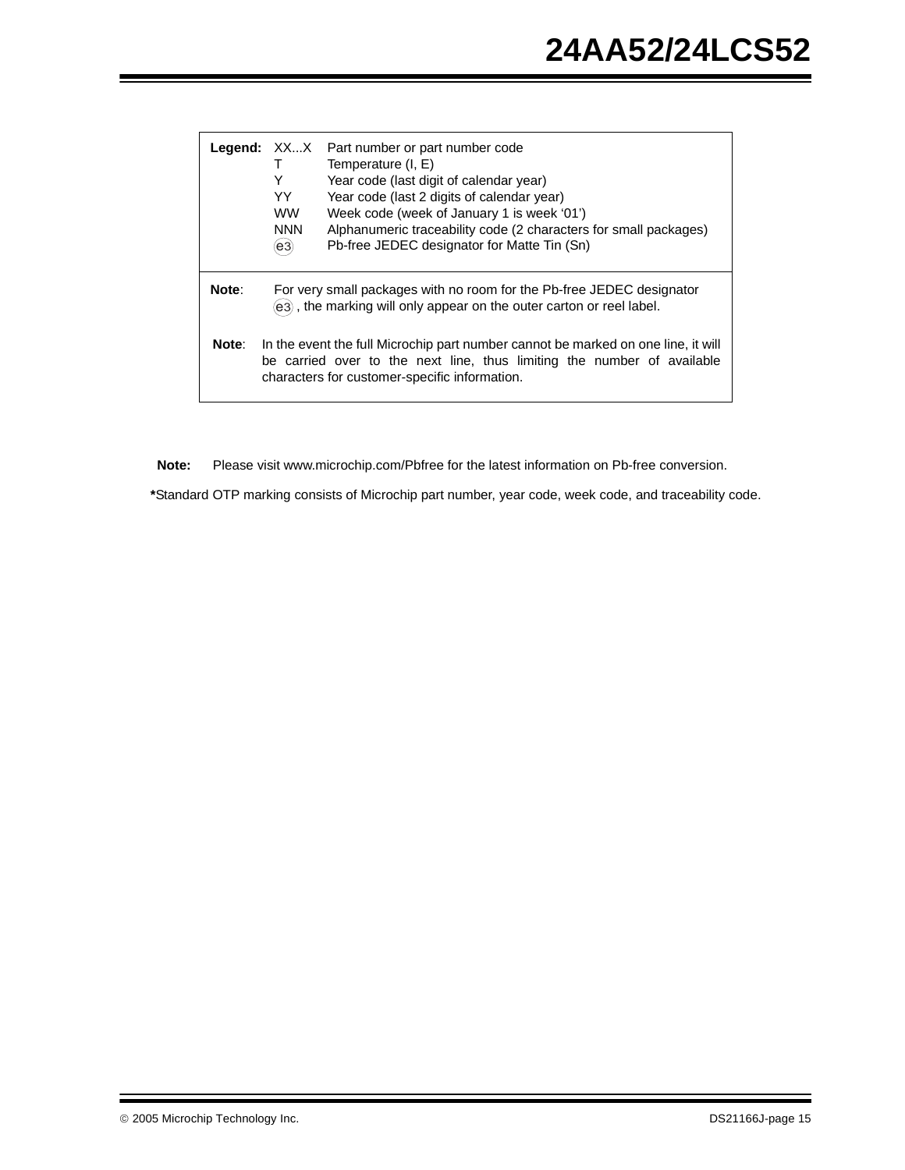|       | Legend: XXX<br>т<br>Y<br>YY<br><b>WW</b><br><b>NNN</b><br>(e3)                                                                                                                                                | Part number or part number code<br>Temperature (I, E)<br>Year code (last digit of calendar year)<br>Year code (last 2 digits of calendar year)<br>Week code (week of January 1 is week '01')<br>Alphanumeric traceability code (2 characters for small packages)<br>Pb-free JEDEC designator for Matte Tin (Sn) |
|-------|---------------------------------------------------------------------------------------------------------------------------------------------------------------------------------------------------------------|-----------------------------------------------------------------------------------------------------------------------------------------------------------------------------------------------------------------------------------------------------------------------------------------------------------------|
| Note: |                                                                                                                                                                                                               | For very small packages with no room for the Pb-free JEDEC designator<br>(e3), the marking will only appear on the outer carton or reel label.                                                                                                                                                                  |
| Note: | In the event the full Microchip part number cannot be marked on one line, it will<br>be carried over to the next line, thus limiting the number of available<br>characters for customer-specific information. |                                                                                                                                                                                                                                                                                                                 |

**Note:** Please visit www.microchip.com/Pbfree for the latest information on Pb-free conversion.

**\***Standard OTP marking consists of Microchip part number, year code, week code, and traceability code.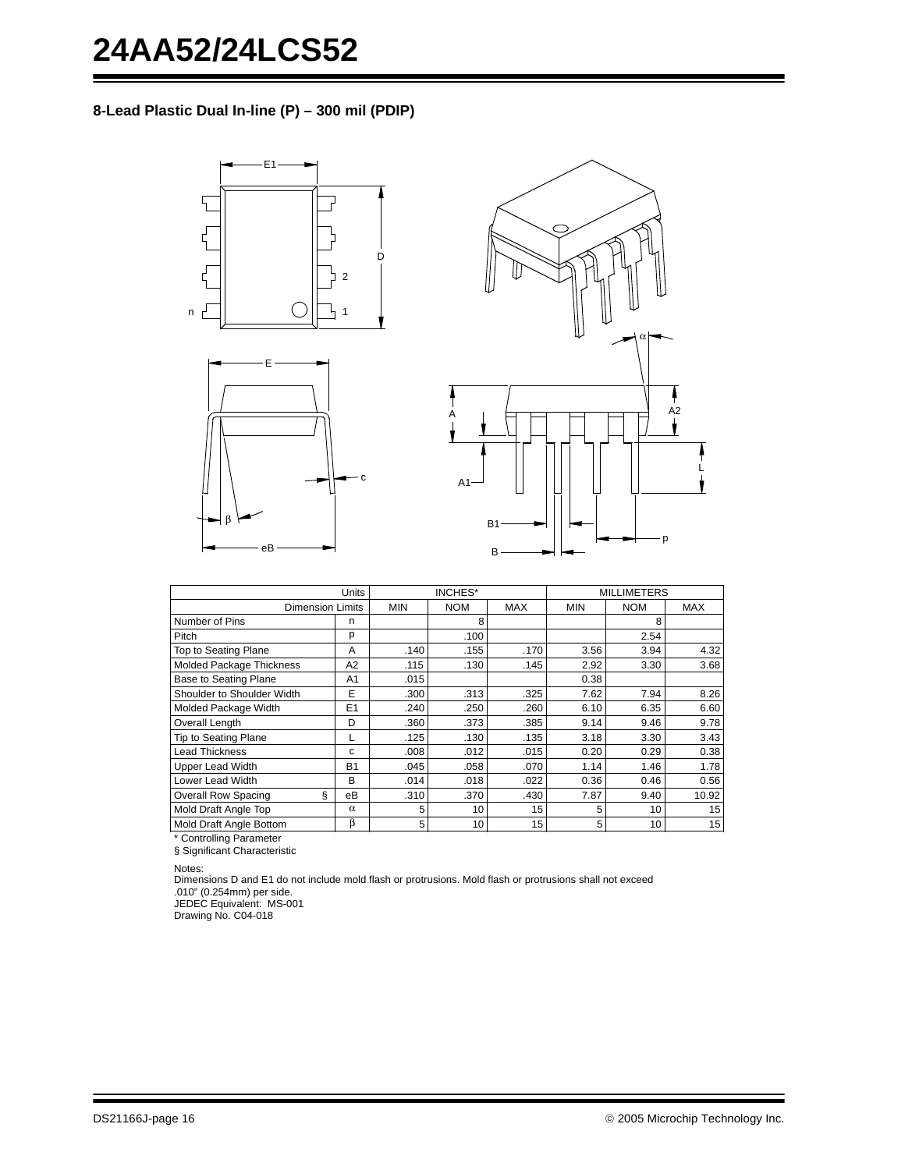**8-Lead Plastic Dual In-line (P) – 300 mil (PDIP)**







|                                 | Units          |                | INCHES*         |            |            | <b>MILLIMETERS</b> |            |
|---------------------------------|----------------|----------------|-----------------|------------|------------|--------------------|------------|
| <b>Dimension Limits</b>         |                | <b>MIN</b>     | <b>NOM</b>      | <b>MAX</b> | <b>MIN</b> | <b>NOM</b>         | <b>MAX</b> |
| Number of Pins                  | n              |                | 8               |            |            | 8                  |            |
| Pitch                           | р              |                | .100            |            |            | 2.54               |            |
| Top to Seating Plane            | A              | .140           | .155            | .170       | 3.56       | 3.94               | 4.32       |
| Molded Package Thickness        | A2             | .115           | .130            | .145       | 2.92       | 3.30               | 3.68       |
| Base to Seating Plane           | A <sub>1</sub> | .015           |                 |            | 0.38       |                    |            |
| Shoulder to Shoulder Width      | E              | .300           | .313            | .325       | 7.62       | 7.94               | 8.26       |
| Molded Package Width            | E1             | .240           | .250            | .260       | 6.10       | 6.35               | 6.60       |
| Overall Length                  | D              | .360           | .373            | .385       | 9.14       | 9.46               | 9.78       |
| Tip to Seating Plane            | L              | .125           | .130            | .135       | 3.18       | 3.30               | 3.43       |
| <b>Lead Thickness</b>           | c              | .008           | .012            | .015       | 0.20       | 0.29               | 0.38       |
| Upper Lead Width                | <b>B1</b>      | .045           | .058            | .070       | 1.14       | 1.46               | 1.78       |
| Lower Lead Width                | B              | .014           | .018            | .022       | 0.36       | 0.46               | 0.56       |
| ş<br><b>Overall Row Spacing</b> | eB             | .310           | .370            | .430       | 7.87       | 9.40               | 10.92      |
| Mold Draft Angle Top            | $\alpha$       | 5              | 10              | 15         | 5          | 10                 | 15         |
| Mold Draft Angle Bottom         | β              | 5 <sup>1</sup> | 10 <sup>1</sup> | 15         | 5          | 10                 | 15         |

\* Controlling Parameter § Significant Characteristic

Notes: Dimensions D and E1 do not include mold flash or protrusions. Mold flash or protrusions shall not exceed

JEDEC Equivalent: MS-001 .010" (0.254mm) per side.

Drawing No. C04-018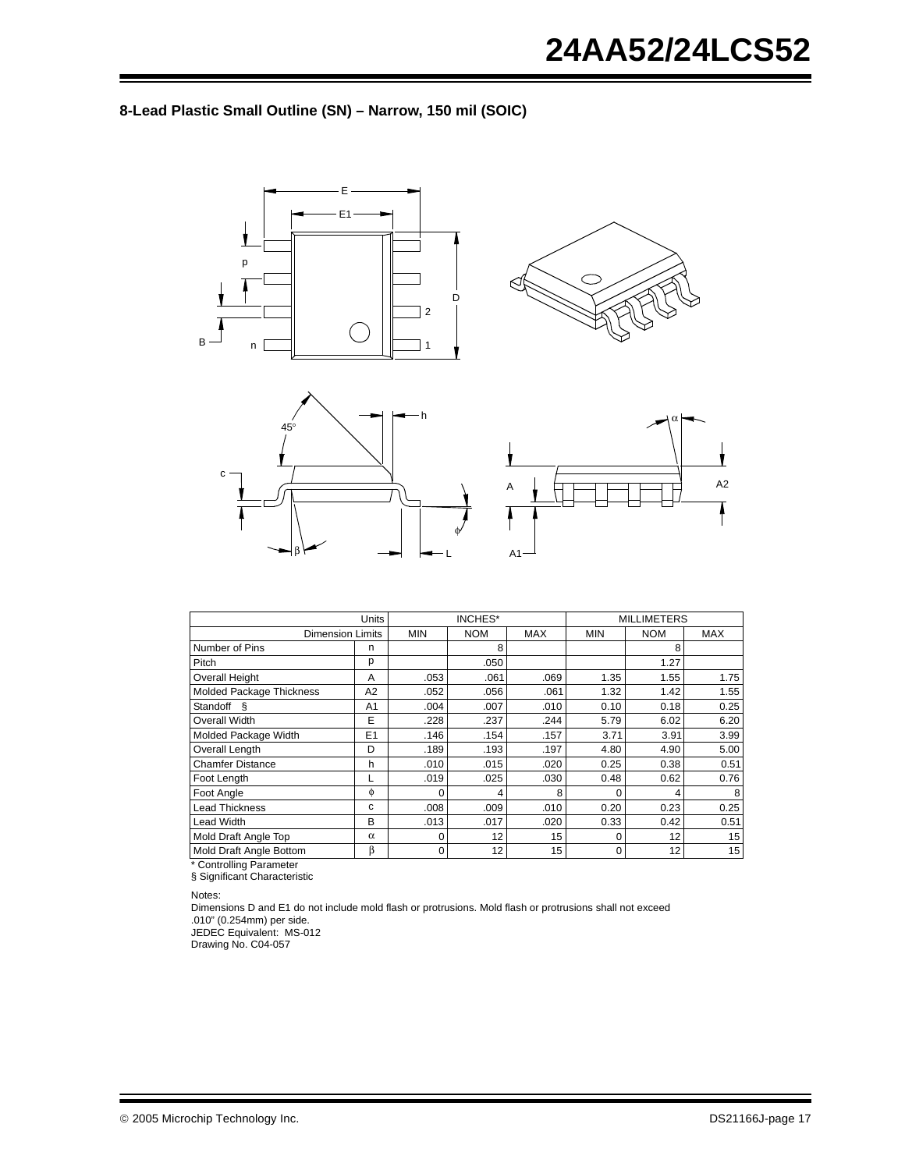# **8-Lead Plastic Small Outline (SN) – Narrow, 150 mil (SOIC)**









|                                 | <b>Units</b> |            | INCHES*    |            |            | <b>MILLIMETERS</b> |            |
|---------------------------------|--------------|------------|------------|------------|------------|--------------------|------------|
| <b>Dimension Limits</b>         |              | <b>MIN</b> | <b>NOM</b> | <b>MAX</b> | <b>MIN</b> | <b>NOM</b>         | <b>MAX</b> |
| Number of Pins                  | n            |            | 8          |            |            | 8                  |            |
| Pitch                           | p            |            | .050       |            |            | 1.27               |            |
| Overall Height                  | A            | .053       | .061       | .069       | 1.35       | 1.55               | 1.75       |
| <b>Molded Package Thickness</b> | A2           | .052       | .056       | .061       | 1.32       | 1.42               | 1.55       |
| Standoff &                      | A1           | .004       | .007       | .010       | 0.10       | 0.18               | 0.25       |
| Overall Width                   | E            | .228       | .237       | .244       | 5.79       | 6.02               | 6.20       |
| Molded Package Width            | E1           | .146       | .154       | .157       | 3.71       | 3.91               | 3.99       |
| Overall Length                  | D            | .189       | .193       | .197       | 4.80       | 4.90               | 5.00       |
| <b>Chamfer Distance</b>         | h            | .010       | .015       | .020       | 0.25       | 0.38               | 0.51       |
| Foot Lenath                     | L            | .019       | .025       | .030       | 0.48       | 0.62               | 0.76       |
| Foot Angle                      | Φ            | 0          | 4          | 8          | ∩          | 4                  | 8          |
| <b>Lead Thickness</b>           | c            | .008       | .009       | .010       | 0.20       | 0.23               | 0.25       |
| <b>Lead Width</b>               | B            | .013       | .017       | .020       | 0.33       | 0.42               | 0.51       |
| Mold Draft Angle Top            | $\alpha$     | 0          | 12         | 15         |            | 12                 | 15         |
| Mold Draft Angle Bottom         | β            | 0          | 12         | 15         | 0          | 12                 | 15         |

\* Controlling Parameter § Significant Characteristic

Notes:

Dimensions D and E1 do not include mold flash or protrusions. Mold flash or protrusions shall not exceed .010" (0.254mm) per side.

JEDEC Equivalent: MS-012 Drawing No. C04-057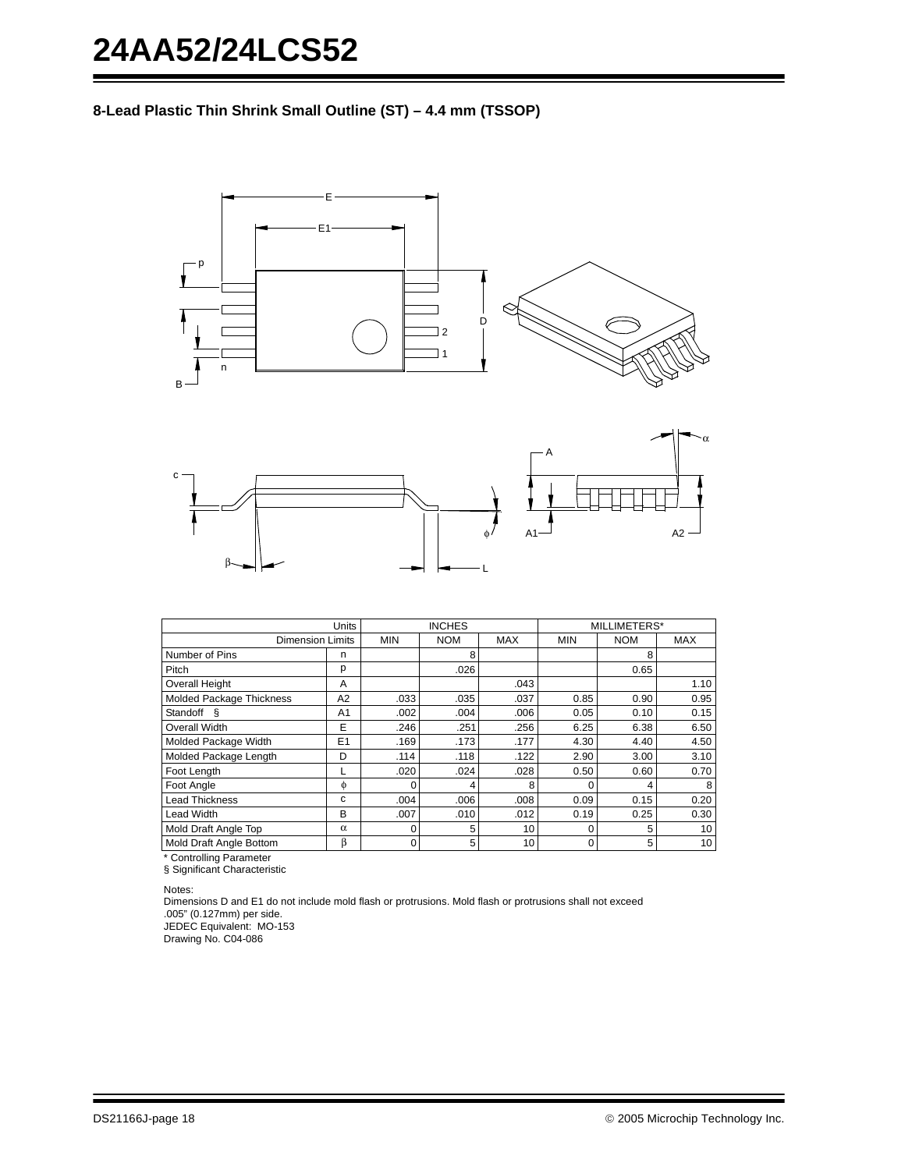**8-Lead Plastic Thin Shrink Small Outline (ST) – 4.4 mm (TSSOP)**







|                          | <b>Units</b> | <b>INCHES</b> |            | MILLIMETERS* |            |            |            |
|--------------------------|--------------|---------------|------------|--------------|------------|------------|------------|
| <b>Dimension Limits</b>  |              | <b>MIN</b>    | <b>NOM</b> | <b>MAX</b>   | <b>MIN</b> | <b>NOM</b> | <b>MAX</b> |
| Number of Pins           | n            |               | 8          |              |            |            |            |
| Pitch                    | р            |               | .026       |              |            | 0.65       |            |
| <b>Overall Height</b>    | Α            |               |            | .043         |            |            | 1.10       |
| Molded Package Thickness | A2           | .033          | .035       | .037         | 0.85       | 0.90       | 0.95       |
| Standoff<br>S            | A1           | .002          | .004       | .006         | 0.05       | 0.10       | 0.15       |
| Overall Width            | Е            | .246          | .251       | .256         | 6.25       | 6.38       | 6.50       |
| Molded Package Width     | E1           | .169          | .173       | .177         | 4.30       | 4.40       | 4.50       |
| Molded Package Length    | D            | .114          | .118       | .122         | 2.90       | 3.00       | 3.10       |
| Foot Length              |              | .020          | .024       | .028         | 0.50       | 0.60       | 0.70       |
| Foot Angle               | φ            |               |            | 8            | $\Omega$   |            |            |
| <b>Lead Thickness</b>    | c            | .004          | .006       | .008         | 0.09       | 0.15       | 0.20       |
| <b>Lead Width</b>        | B            | .007          | .010       | .012         | 0.19       | 0.25       | 0.30       |
| Mold Draft Angle Top     | $\alpha$     |               | 5          | 10           | 0          |            | 10         |
| Mold Draft Angle Bottom  | β            | 0             | 5          | 10           | 0          | 5          | 10         |

\* Controlling Parameter

§ Significant Characteristic

Notes:

Dimensions D and E1 do not include mold flash or protrusions. Mold flash or protrusions shall not exceed .005" (0.127mm) per side.

JEDEC Equivalent: MO-153 Drawing No. C04-086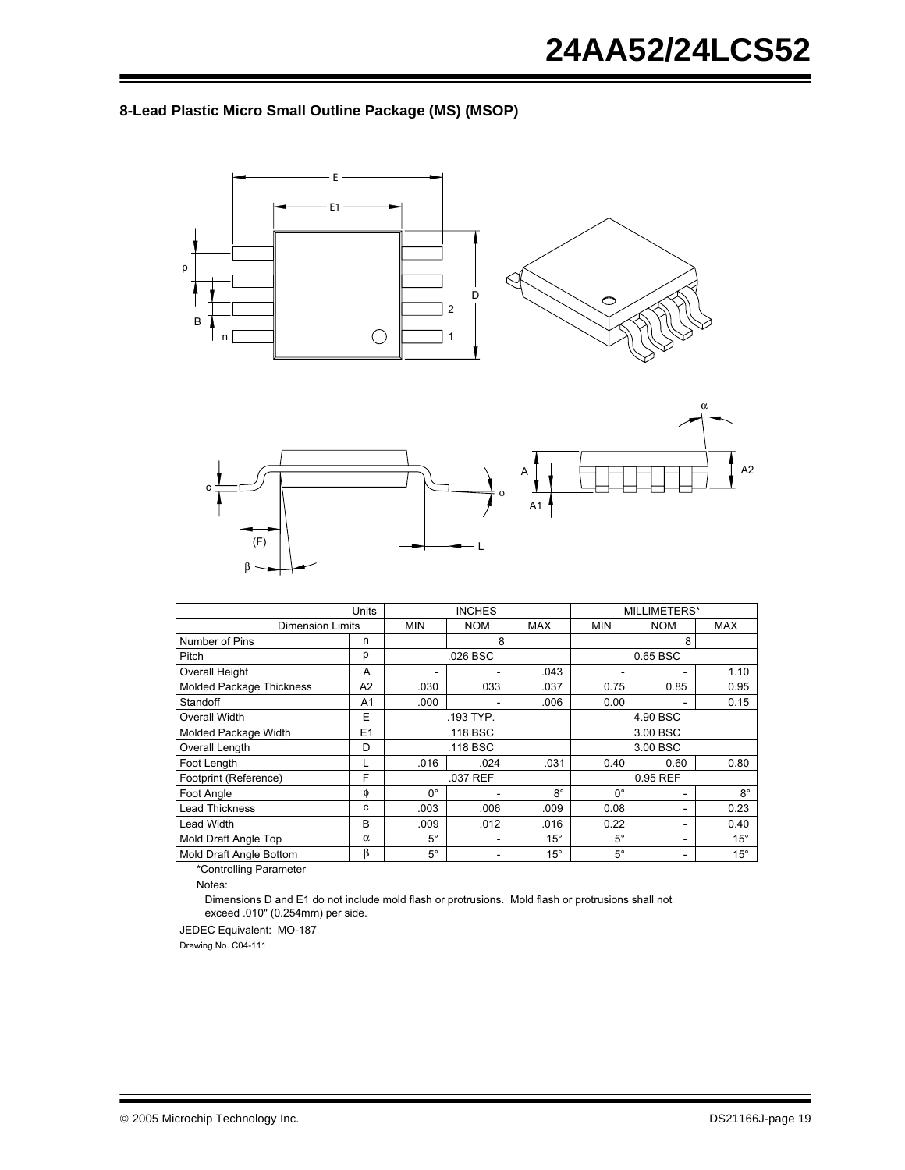# **8-Lead Plastic Micro Small Outline Package (MS) (MSOP)**





|                                 | Units          | <b>INCHES</b> |            | MILLIMETERS* |             |            |              |
|---------------------------------|----------------|---------------|------------|--------------|-------------|------------|--------------|
| <b>Dimension Limits</b>         |                | <b>MIN</b>    | <b>NOM</b> | <b>MAX</b>   | MIN         | <b>NOM</b> | <b>MAX</b>   |
| Number of Pins                  | n              |               | 8          |              |             | 8          |              |
| Pitch                           | р              |               | .026 BSC   |              |             | 0.65 BSC   |              |
| Overall Height                  | A              |               |            | .043         |             |            | 1.10         |
| <b>Molded Package Thickness</b> | A <sub>2</sub> | .030          | .033       | .037         | 0.75        | 0.85       | 0.95         |
| Standoff                        | A <sub>1</sub> | .000          |            | .006         | 0.00        |            | 0.15         |
| Overall Width                   | Е              |               | .193 TYP.  |              |             | 4.90 BSC   |              |
| Molded Package Width            | E <sub>1</sub> |               | .118 BSC   |              |             | 3.00 BSC   |              |
| Overall Length                  | D              |               | .118 BSC   |              |             | 3.00 BSC   |              |
| Foot Length                     |                | .016          | .024       | .031         | 0.40        | 0.60       | 0.80         |
| Footprint (Reference)           | F              | .037 REF      |            | 0.95 REF     |             |            |              |
| Foot Angle                      | φ              | $0^{\circ}$   | -          | 8°           | 0°          |            | $8^{\circ}$  |
| <b>Lead Thickness</b>           | C              | .003          | .006       | .009         | 0.08        | -          | 0.23         |
| <b>Lead Width</b>               | в              | .009          | .012       | .016         | 0.22        |            | 0.40         |
| Mold Draft Angle Top            | $\alpha$       | $5^\circ$     |            | $15^{\circ}$ | $5^\circ$   |            | $15^{\circ}$ |
| Mold Draft Angle Bottom         | β              | $5^\circ$     | ۰          | $15^{\circ}$ | $5^{\circ}$ | ٠          | $15^{\circ}$ |

\*Controlling Parameter

Notes:

Dimensions D and E1 do not include mold flash or protrusions. Mold flash or protrusions shall not exceed .010" (0.254mm) per side.

JEDEC Equivalent: MO-187

Drawing No. C04-111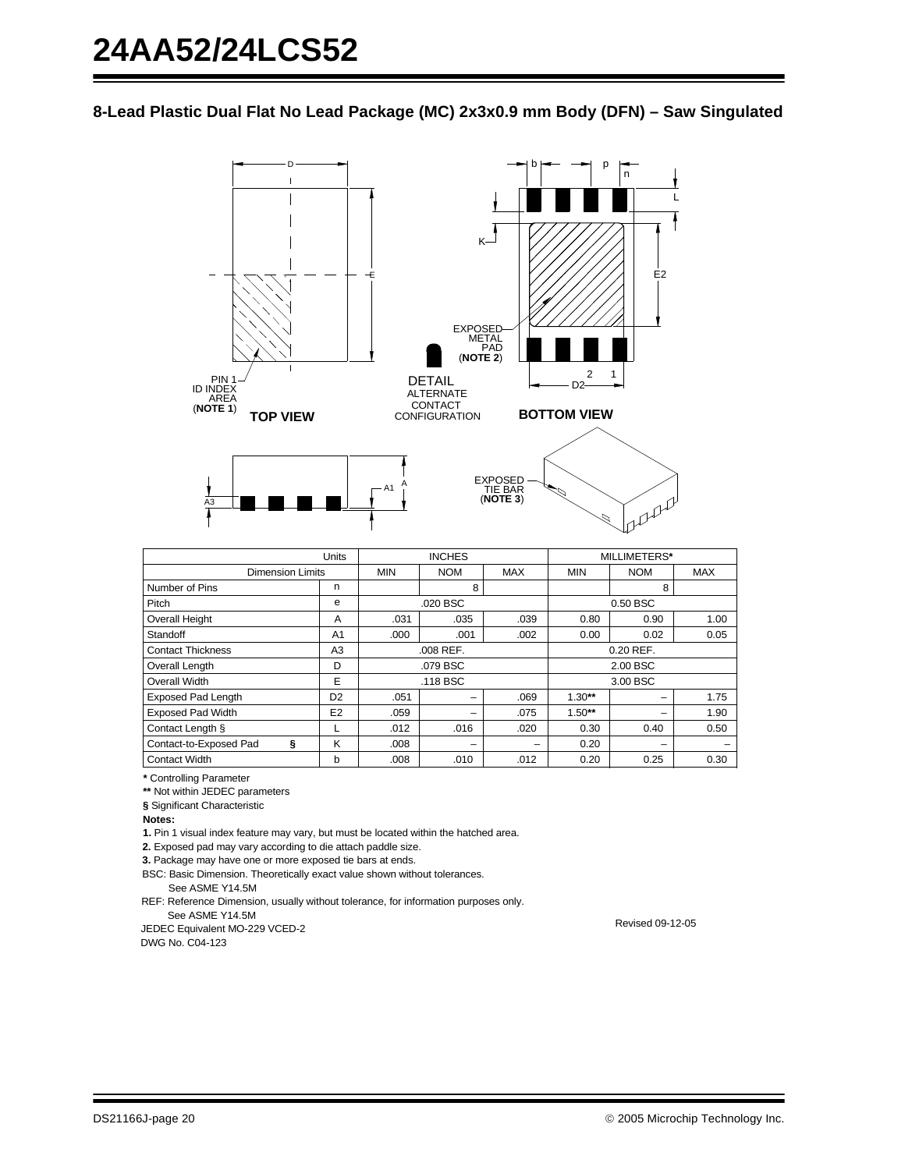**8-Lead Plastic Dual Flat No Lead Package (MC) 2x3x0.9 mm Body (DFN) – Saw Singulated**



|                             | <b>Units</b>   |             | <b>INCHES</b> |             |            | MILLIMETERS* |            |
|-----------------------------|----------------|-------------|---------------|-------------|------------|--------------|------------|
| <b>Dimension Limits</b>     |                | <b>MIN</b>  | <b>NOM</b>    | <b>MAX</b>  | <b>MIN</b> | <b>NOM</b>   | <b>MAX</b> |
| Number of Pins              | n              |             | 8             |             |            | 8            |            |
| Pitch                       | e              |             | .020 BSC      |             |            | 0.50 BSC     |            |
| <b>Overall Height</b>       | A              | .031        | .035          | .039        | 0.80       | 0.90         | 1.00       |
| Standoff                    | A <sub>1</sub> | .000        | .001          | .002        | 0.00       | 0.02         | 0.05       |
| <b>Contact Thickness</b>    | A <sub>3</sub> | $.008$ REF. |               | $0.20$ REF. |            |              |            |
| Overall Length              | D              |             | .079 BSC      |             |            | 2.00 BSC     |            |
| Overall Width               | E              |             | .118 BSC      |             |            | 3.00 BSC     |            |
| <b>Exposed Pad Length</b>   | D <sub>2</sub> | .051        | -             | .069        | $1.30**$   |              | 1.75       |
| <b>Exposed Pad Width</b>    | E <sub>2</sub> | .059        | -             | .075        | $1.50**$   |              | 1.90       |
| Contact Length §            |                | .012        | .016          | .020        | 0.30       | 0.40         | 0.50       |
| Contact-to-Exposed Pad<br>ş | K              | .008        |               | -           | 0.20       |              |            |
| <b>Contact Width</b>        | b              | .008        | .010          | .012        | 0.20       | 0.25         | 0.30       |

**\*** Controlling Parameter

**\*\*** Not within JEDEC parameters

**§** Significant Characteristic

**Notes:**

**1.** Pin 1 visual index feature may vary, but must be located within the hatched area.

**2.** Exposed pad may vary according to die attach paddle size.

**3.** Package may have one or more exposed tie bars at ends.

BSC: Basic Dimension. Theoretically exact value shown without tolerances.

See ASME Y14.5M

REF: Reference Dimension, usually without tolerance, for information purposes only.

See ASME Y14.5M

JEDEC Equivalent MO-229 VCED-2

DWG No. C04-123

Revised 09-12-05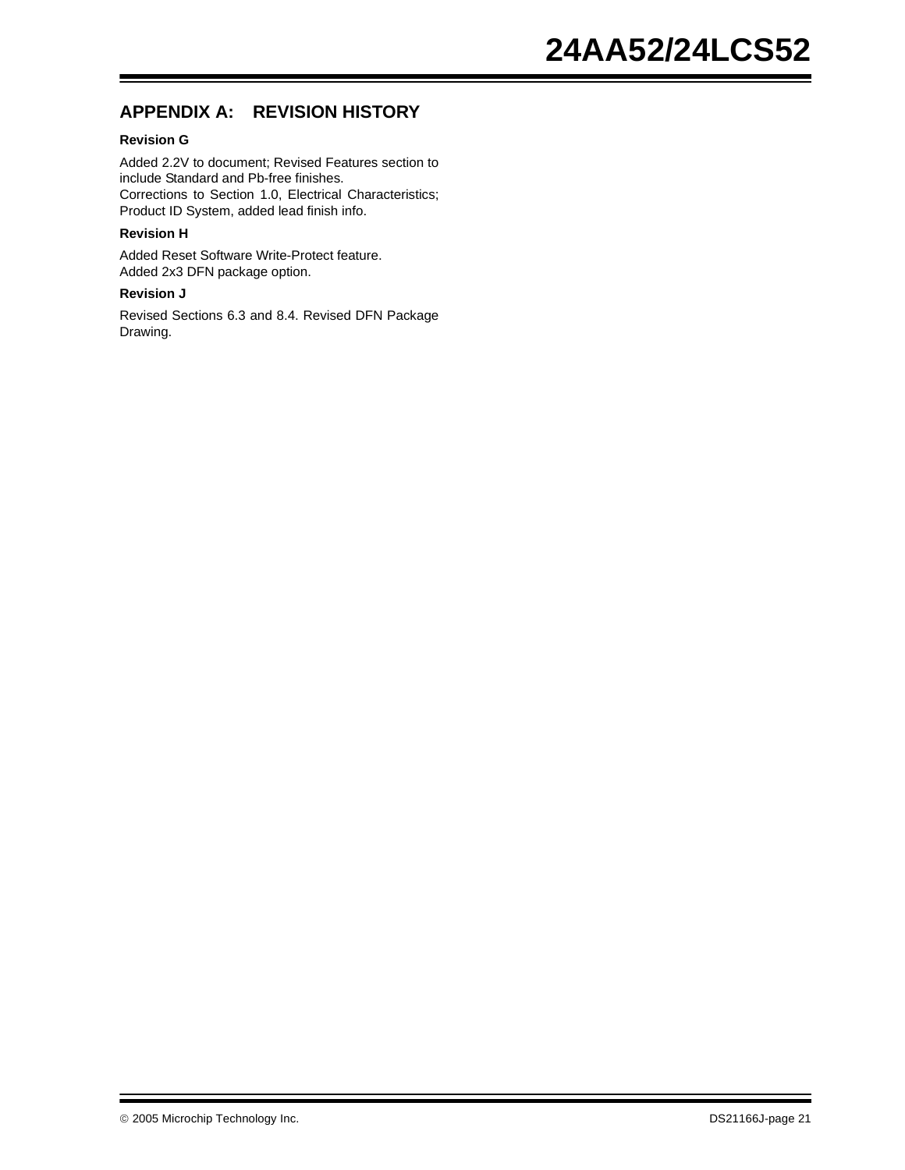# **APPENDIX A: REVISION HISTORY**

#### **Revision G**

Added 2.2V to document; Revised Features section to include Standard and Pb-free finishes. Corrections to Section 1.0, Electrical Characteristics; Product ID System, added lead finish info.

#### **Revision H**

Added Reset Software Write-Protect feature. Added 2x3 DFN package option.

#### **Revision J**

Revised Sections 6.3 and 8.4. Revised DFN Package Drawing.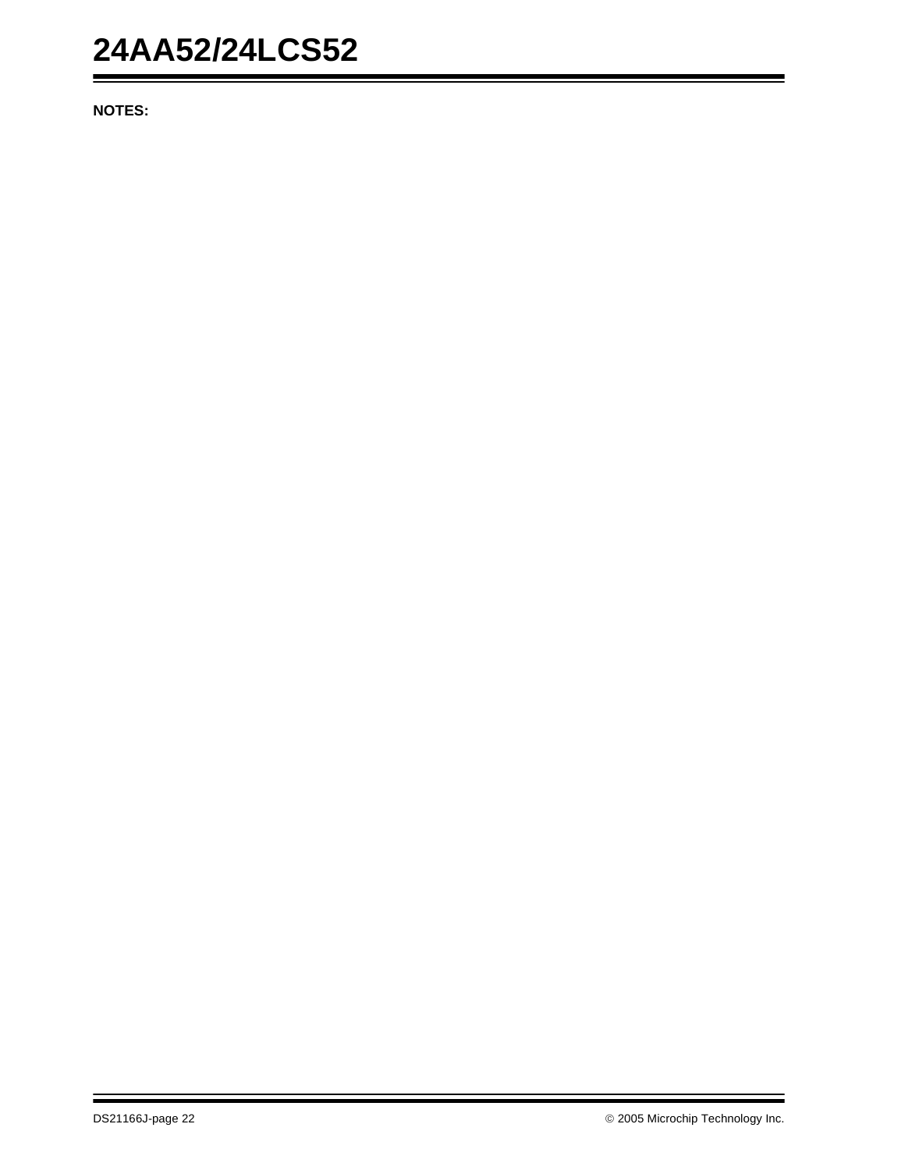**NOTES:**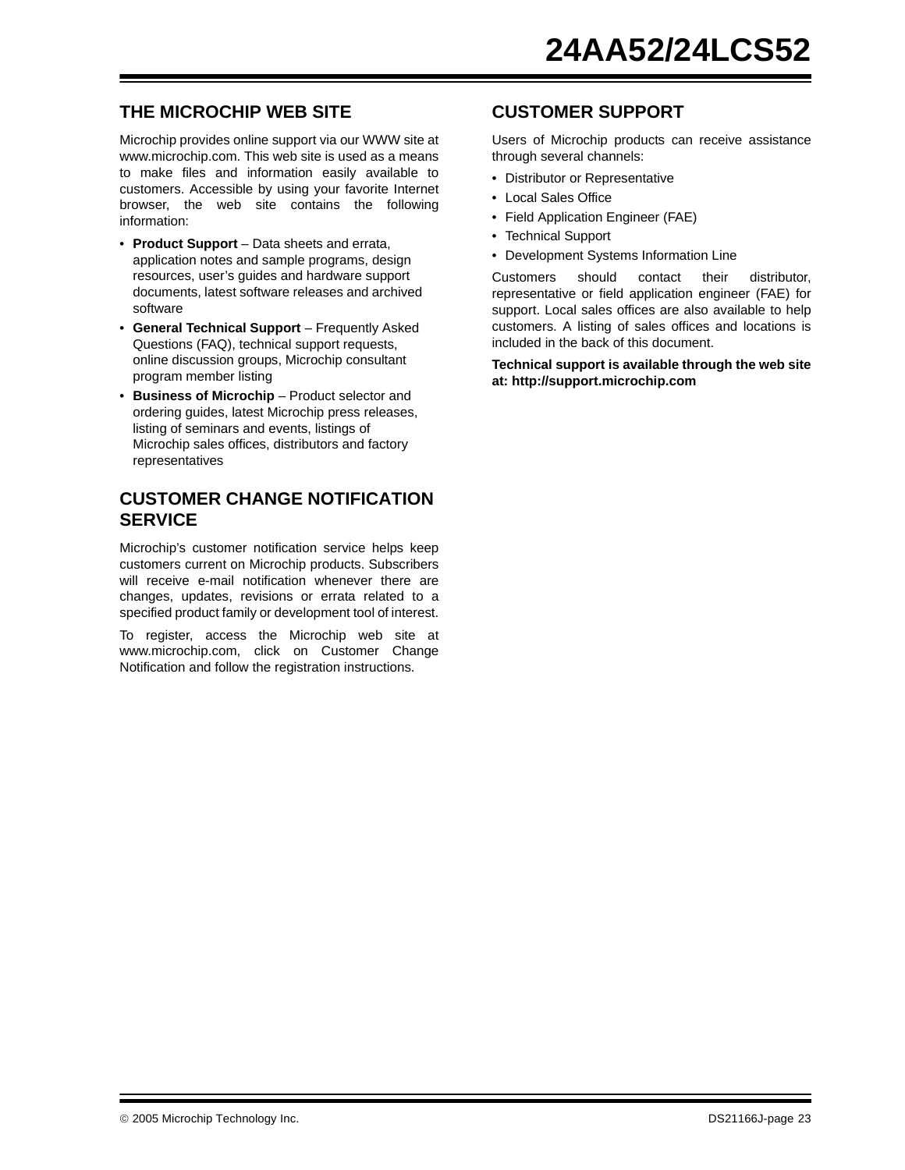# **THE MICROCHIP WEB SITE**

Microchip provides online support via our WWW site at www.microchip.com. This web site is used as a means to make files and information easily available to customers. Accessible by using your favorite Internet browser, the web site contains the following information:

- **Product Support** Data sheets and errata, application notes and sample programs, design resources, user's guides and hardware support documents, latest software releases and archived software
- **General Technical Support** Frequently Asked Questions (FAQ), technical support requests, online discussion groups, Microchip consultant program member listing
- **Business of Microchip** Product selector and ordering guides, latest Microchip press releases, listing of seminars and events, listings of Microchip sales offices, distributors and factory representatives

# **CUSTOMER CHANGE NOTIFICATION SERVICE**

Microchip's customer notification service helps keep customers current on Microchip products. Subscribers will receive e-mail notification whenever there are changes, updates, revisions or errata related to a specified product family or development tool of interest.

To register, access the Microchip web site at www.microchip.com, click on Customer Change Notification and follow the registration instructions.

# **CUSTOMER SUPPORT**

Users of Microchip products can receive assistance through several channels:

- Distributor or Representative
- Local Sales Office
- Field Application Engineer (FAE)
- Technical Support
- Development Systems Information Line

Customers should contact their distributor, representative or field application engineer (FAE) for support. Local sales offices are also available to help customers. A listing of sales offices and locations is included in the back of this document.

**Technical support is available through the web site at: http://support.microchip.com**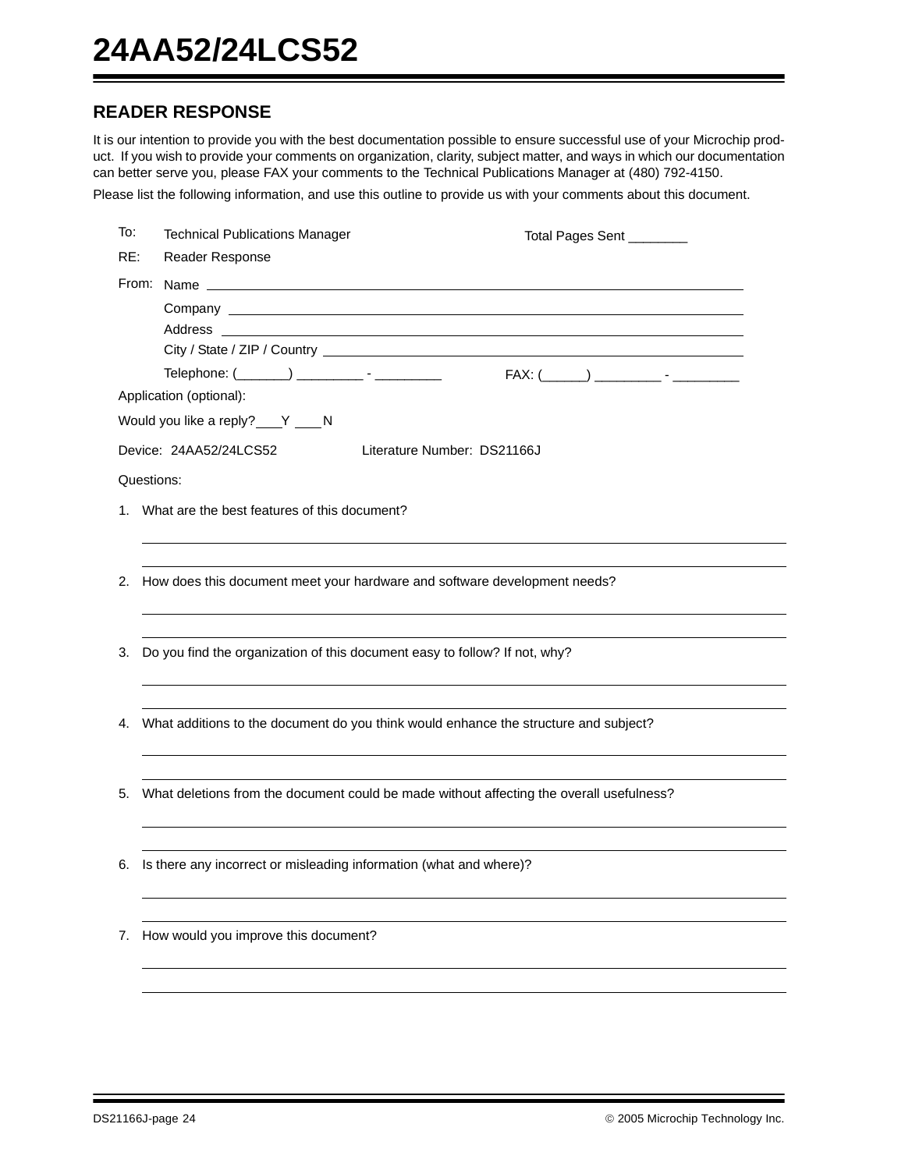# **READER RESPONSE**

It is our intention to provide you with the best documentation possible to ensure successful use of your Microchip product. If you wish to provide your comments on organization, clarity, subject matter, and ways in which our documentation can better serve you, please FAX your comments to the Technical Publications Manager at (480) 792-4150.

Please list the following information, and use this outline to provide us with your comments about this document.

| To: | <b>Technical Publications Manager</b>                              | Total Pages Sent ________                                                                                        |
|-----|--------------------------------------------------------------------|------------------------------------------------------------------------------------------------------------------|
| RE: | Reader Response                                                    |                                                                                                                  |
|     |                                                                    |                                                                                                                  |
|     |                                                                    |                                                                                                                  |
|     | Address                                                            | and the control of the control of the control of the control of the control of the control of the control of the |
|     |                                                                    |                                                                                                                  |
|     |                                                                    |                                                                                                                  |
|     | Application (optional):                                            |                                                                                                                  |
|     | Would you like a reply? ___ Y ____ N                               |                                                                                                                  |
|     | Device: 24AA52/24LCS52                                             | Literature Number: DS21166J                                                                                      |
|     | Questions:                                                         |                                                                                                                  |
|     | 1. What are the best features of this document?                    |                                                                                                                  |
|     |                                                                    |                                                                                                                  |
|     |                                                                    |                                                                                                                  |
|     |                                                                    | 2. How does this document meet your hardware and software development needs?                                     |
|     |                                                                    |                                                                                                                  |
|     |                                                                    |                                                                                                                  |
| 3.  |                                                                    | Do you find the organization of this document easy to follow? If not, why?                                       |
|     |                                                                    |                                                                                                                  |
|     |                                                                    |                                                                                                                  |
|     |                                                                    | 4. What additions to the document do you think would enhance the structure and subject?                          |
|     |                                                                    |                                                                                                                  |
|     |                                                                    |                                                                                                                  |
| 5.  |                                                                    | What deletions from the document could be made without affecting the overall usefulness?                         |
|     |                                                                    |                                                                                                                  |
| 6.  | Is there any incorrect or misleading information (what and where)? |                                                                                                                  |
|     |                                                                    |                                                                                                                  |
|     |                                                                    |                                                                                                                  |
| 7.  | How would you improve this document?                               |                                                                                                                  |
|     |                                                                    |                                                                                                                  |
|     |                                                                    |                                                                                                                  |
|     |                                                                    |                                                                                                                  |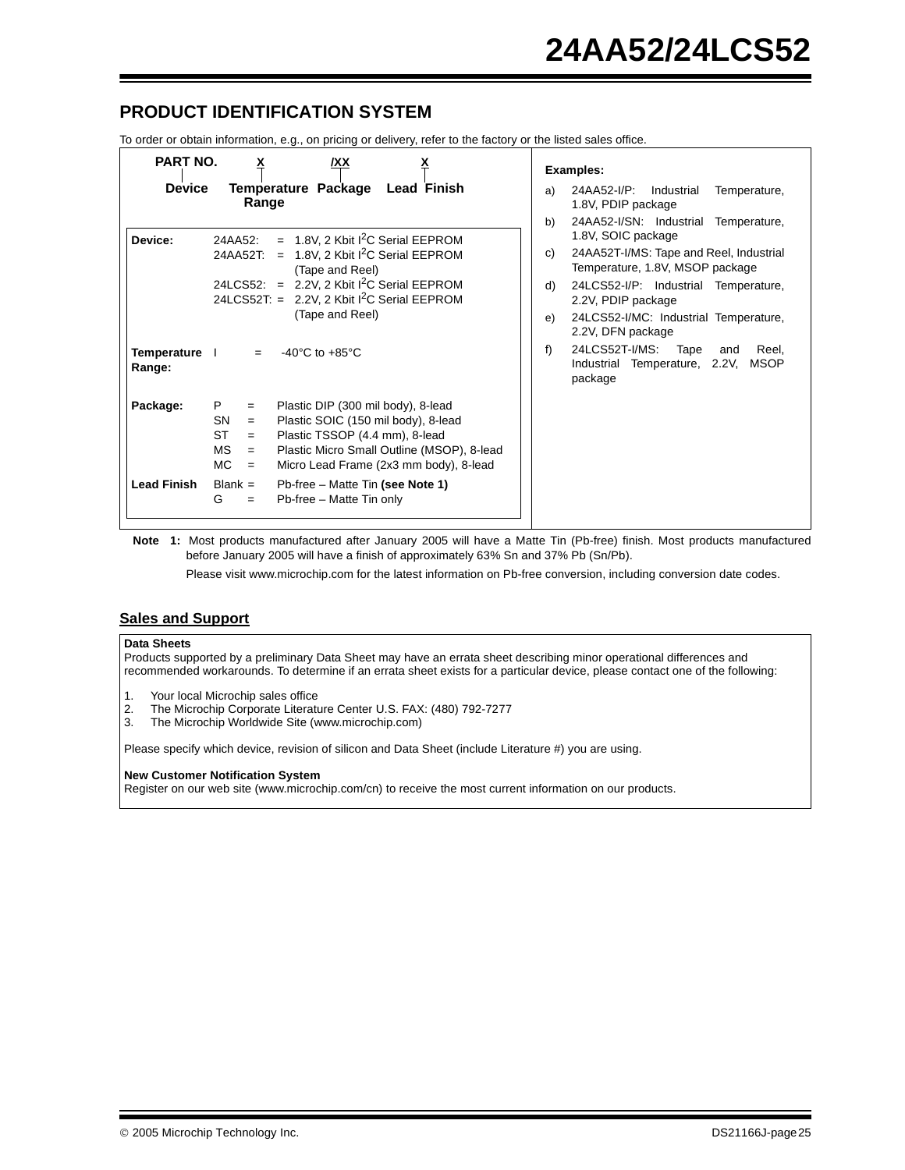# **PRODUCT IDENTIFICATION SYSTEM**

To order or obtain information, e.g., on pricing or delivery, refer to the factory or the listed sales office.

| PART NO.                           | X<br>ľХ                                                                                                                                                                                                                                                                                                                                                                      | Examples:                                                                                                                                                                                                                                                                                                                                                                                                  |
|------------------------------------|------------------------------------------------------------------------------------------------------------------------------------------------------------------------------------------------------------------------------------------------------------------------------------------------------------------------------------------------------------------------------|------------------------------------------------------------------------------------------------------------------------------------------------------------------------------------------------------------------------------------------------------------------------------------------------------------------------------------------------------------------------------------------------------------|
| <b>Device</b>                      | Temperature Package<br><b>Lead Finish</b><br>Range                                                                                                                                                                                                                                                                                                                           | 24AA52-I/P:<br>Industrial<br>Temperature,<br>a)<br>1.8V, PDIP package                                                                                                                                                                                                                                                                                                                                      |
| Device:<br>Temperature  <br>Range: | $= 1.8V$ , 2 Kbit I <sup>2</sup> C Serial EEPROM<br>24AA52:<br>24AA52T: = 1.8V, 2 Kbit $I^2C$ Serial EEPROM<br>(Tape and Reel)<br>24LCS52: = $2.2V$ , 2 Kbit $1^2C$ Serial EEPROM<br>24LCS52T: $= 2.2V$ , 2 Kbit $I^2C$ Serial EEPROM<br>(Tape and Reel)<br>$-40^{\circ}$ C to $+85^{\circ}$ C<br>$=$                                                                        | 24AA52-I/SN: Industrial<br>b)<br>Temperature,<br>1.8V, SOIC package<br>24AA52T-I/MS: Tape and Reel, Industrial<br>C)<br>Temperature, 1.8V, MSOP package<br>24LCS52-I/P: Industrial Temperature,<br>d)<br>2.2V, PDIP package<br>24LCS52-I/MC: Industrial Temperature,<br>e)<br>2.2V, DFN package<br>24LCS52T-I/MS:<br>f)<br>Tape<br>Reel,<br>and<br>Industrial Temperature, 2.2V,<br><b>MSOP</b><br>package |
| Package:<br><b>Lead Finish</b>     | P.<br>Plastic DIP (300 mil body), 8-lead<br>$=$<br><b>SN</b><br>Plastic SOIC (150 mil body), 8-lead<br>$=$<br><b>ST</b><br>Plastic TSSOP (4.4 mm), 8-lead<br>$=$<br>MS<br>Plastic Micro Small Outline (MSOP), 8-lead<br>$=$<br>MC.<br>Micro Lead Frame (2x3 mm body), 8-lead<br>$=$<br>$Blank =$<br>Pb-free – Matte Tin (see Note 1)<br>Pb-free - Matte Tin only<br>G<br>$=$ |                                                                                                                                                                                                                                                                                                                                                                                                            |

**Note 1:** Most products manufactured after January 2005 will have a Matte Tin (Pb-free) finish. Most products manufactured before January 2005 will have a finish of approximately 63% Sn and 37% Pb (Sn/Pb).

Please visit www.microchip.com for the latest information on Pb-free conversion, including conversion date codes.

#### **Sales and Support**

#### **Data Sheets**

Products supported by a preliminary Data Sheet may have an errata sheet describing minor operational differences and recommended workarounds. To determine if an errata sheet exists for a particular device, please contact one of the following:

- 1. Your local Microchip sales office
- 2. The Microchip Corporate Literature Center U.S. FAX: (480) 792-7277
- 3. The Microchip Worldwide Site (www.microchip.com)

Please specify which device, revision of silicon and Data Sheet (include Literature #) you are using.

#### **New Customer Notification System**

Register on our web site (www.microchip.com/cn) to receive the most current information on our products.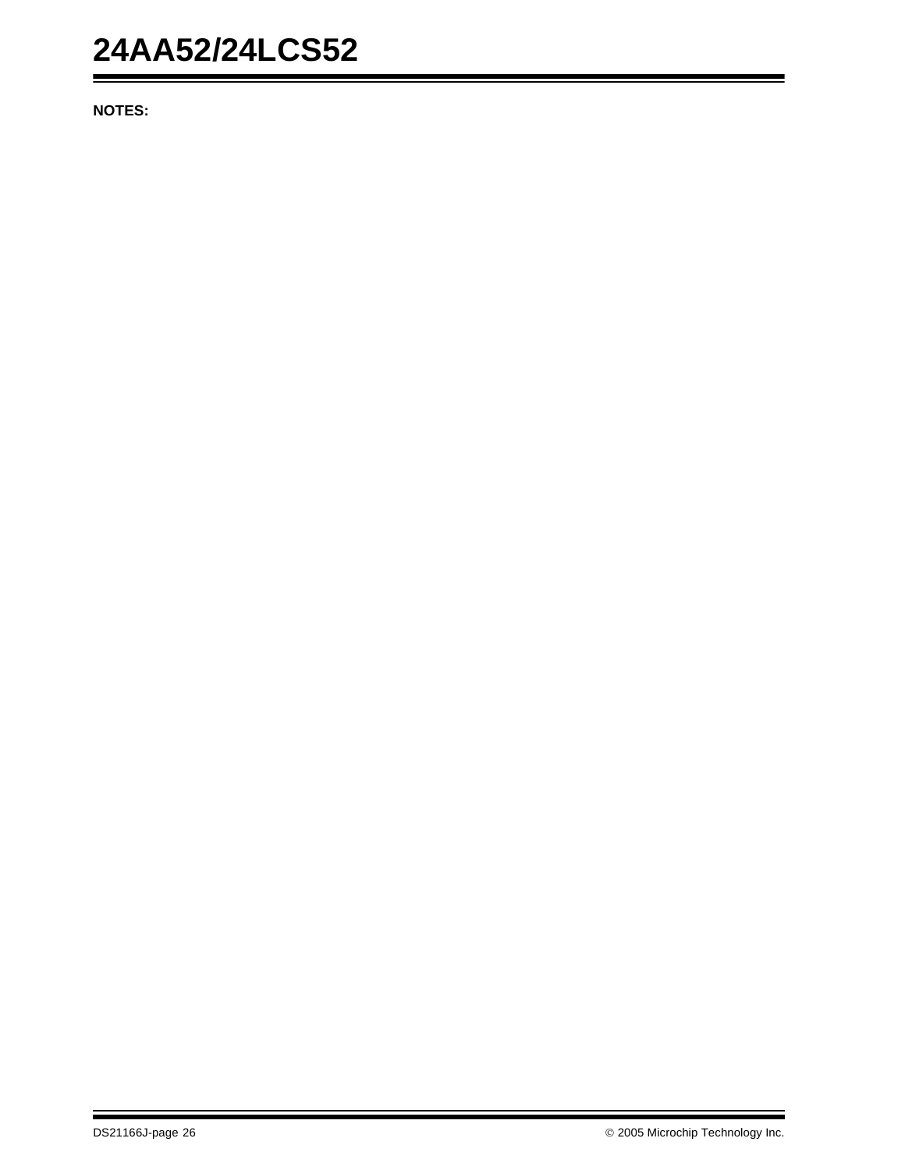**NOTES:**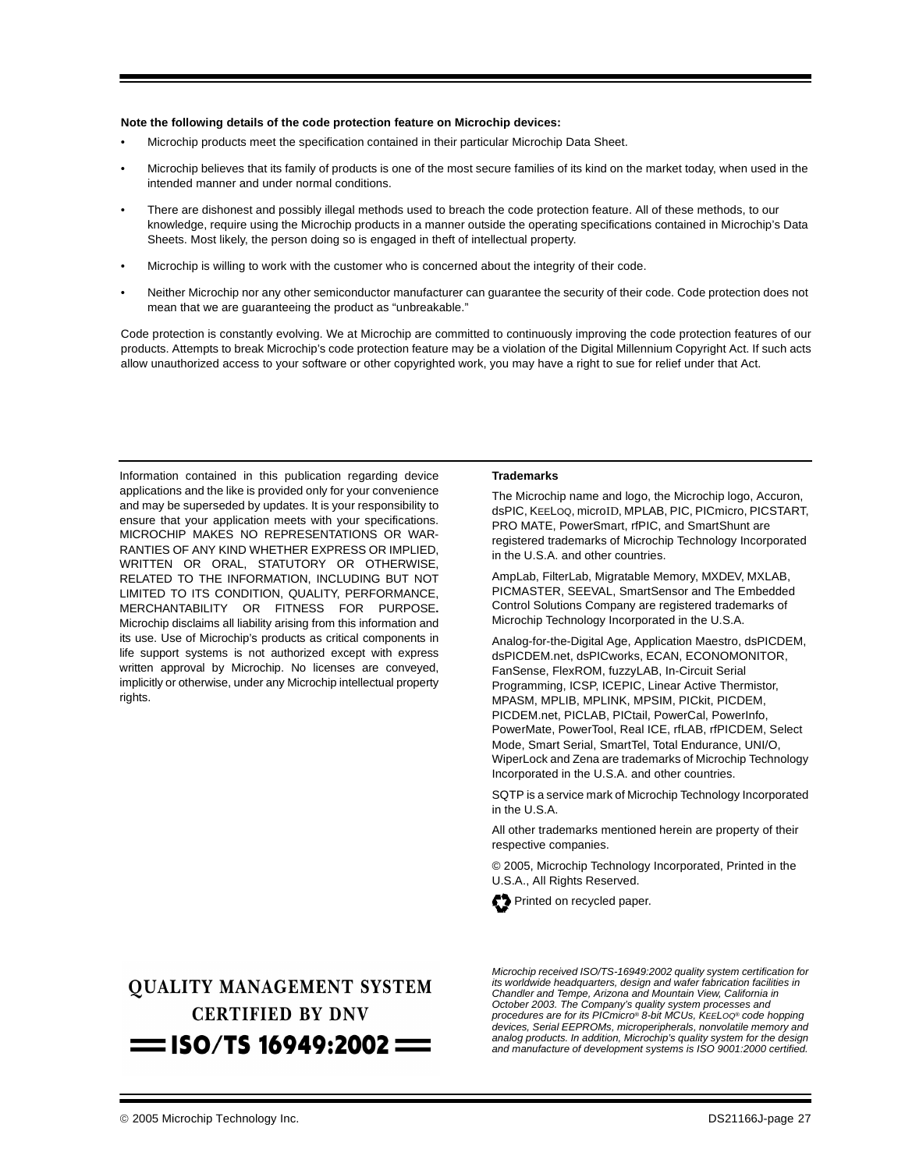#### **Note the following details of the code protection feature on Microchip devices:**

- Microchip products meet the specification contained in their particular Microchip Data Sheet.
- Microchip believes that its family of products is one of the most secure families of its kind on the market today, when used in the intended manner and under normal conditions.
- There are dishonest and possibly illegal methods used to breach the code protection feature. All of these methods, to our knowledge, require using the Microchip products in a manner outside the operating specifications contained in Microchip's Data Sheets. Most likely, the person doing so is engaged in theft of intellectual property.
- Microchip is willing to work with the customer who is concerned about the integrity of their code.
- Neither Microchip nor any other semiconductor manufacturer can guarantee the security of their code. Code protection does not mean that we are guaranteeing the product as "unbreakable."

Code protection is constantly evolving. We at Microchip are committed to continuously improving the code protection features of our products. Attempts to break Microchip's code protection feature may be a violation of the Digital Millennium Copyright Act. If such acts allow unauthorized access to your software or other copyrighted work, you may have a right to sue for relief under that Act.

Information contained in this publication regarding device applications and the like is provided only for your convenience and may be superseded by updates. It is your responsibility to ensure that your application meets with your specifications. MICROCHIP MAKES NO REPRESENTATIONS OR WAR-RANTIES OF ANY KIND WHETHER EXPRESS OR IMPLIED, WRITTEN OR ORAL, STATUTORY OR OTHERWISE, RELATED TO THE INFORMATION, INCLUDING BUT NOT LIMITED TO ITS CONDITION, QUALITY, PERFORMANCE, MERCHANTABILITY OR FITNESS FOR PURPOSE**.** Microchip disclaims all liability arising from this information and its use. Use of Microchip's products as critical components in life support systems is not authorized except with express written approval by Microchip. No licenses are conveyed, implicitly or otherwise, under any Microchip intellectual property rights.

#### **Trademarks**

The Microchip name and logo, the Microchip logo, Accuron, dsPIC, KEELOQ, microID, MPLAB, PIC, PICmicro, PICSTART, PRO MATE, PowerSmart, rfPIC, and SmartShunt are registered trademarks of Microchip Technology Incorporated in the U.S.A. and other countries.

AmpLab, FilterLab, Migratable Memory, MXDEV, MXLAB, PICMASTER, SEEVAL, SmartSensor and The Embedded Control Solutions Company are registered trademarks of Microchip Technology Incorporated in the U.S.A.

Analog-for-the-Digital Age, Application Maestro, dsPICDEM, dsPICDEM.net, dsPICworks, ECAN, ECONOMONITOR, FanSense, FlexROM, fuzzyLAB, In-Circuit Serial Programming, ICSP, ICEPIC, Linear Active Thermistor, MPASM, MPLIB, MPLINK, MPSIM, PICkit, PICDEM, PICDEM.net, PICLAB, PICtail, PowerCal, PowerInfo, PowerMate, PowerTool, Real ICE, rfLAB, rfPICDEM, Select Mode, Smart Serial, SmartTel, Total Endurance, UNI/O, WiperLock and Zena are trademarks of Microchip Technology Incorporated in the U.S.A. and other countries.

SQTP is a service mark of Microchip Technology Incorporated in the  $II S A$ 

All other trademarks mentioned herein are property of their respective companies.

© 2005, Microchip Technology Incorporated, Printed in the U.S.A., All Rights Reserved.



# **OUALITY MANAGEMENT SYSTEM CERTIFIED BY DNV**  $=$  ISO/TS 16949:2002  $=$

*Microchip received ISO/TS-16949:2002 quality system certification for its worldwide headquarters, design and wafer fabrication facilities in Chandler and Tempe, Arizona and Mountain View, California in October 2003. The Company's quality system processes and procedures are for its PICmicro® 8-bit MCUs, KEELOQ® code hopping devices, Serial EEPROMs, microperipherals, nonvolatile memory and analog products. In addition, Microchip's quality system for the design and manufacture of development systems is ISO 9001:2000 certified.*